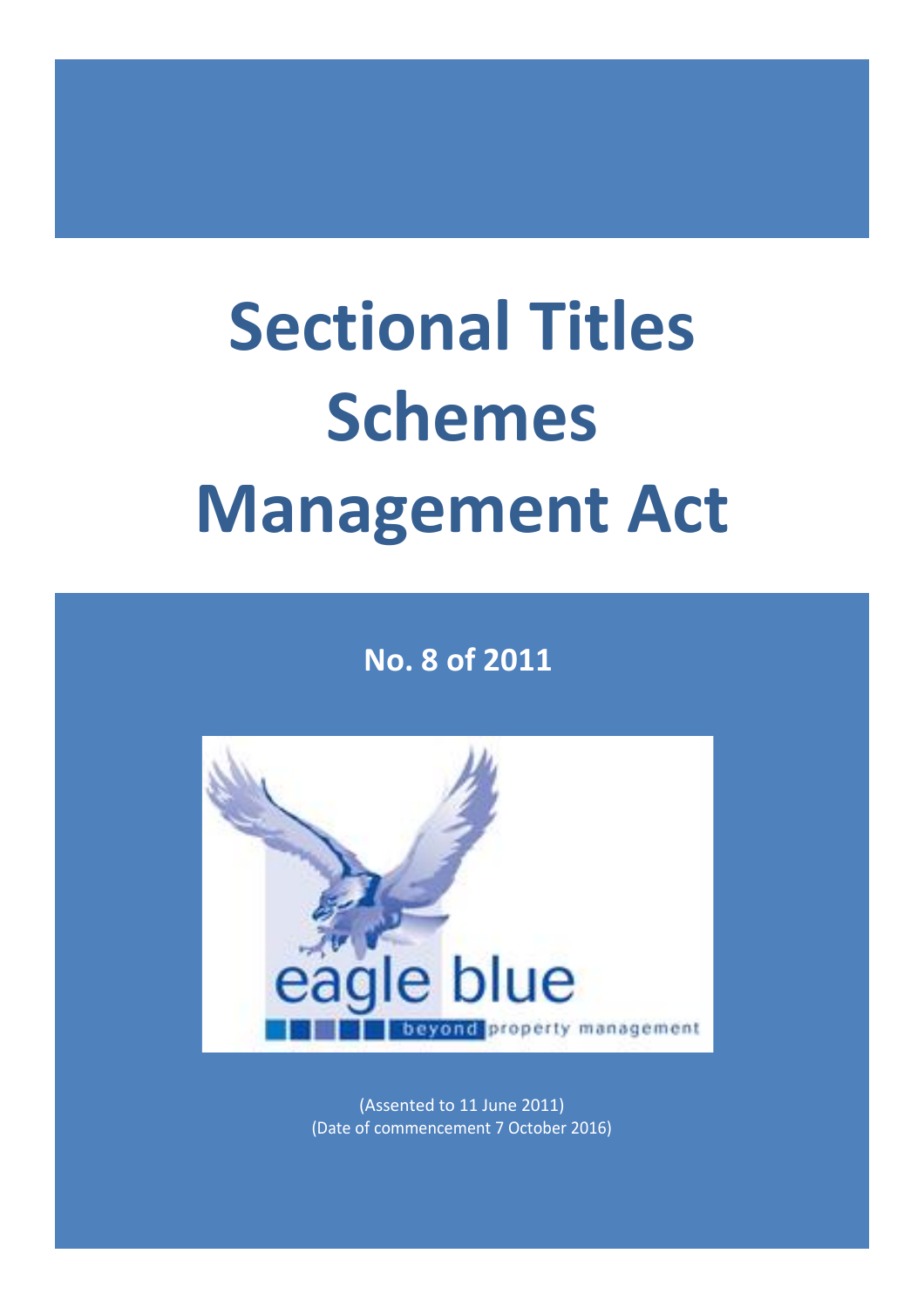# **Sectional Titles Schemes Management Act**

**No. 8 of 2011**



(Assented to 11 June 2011) (Date of commencement 7 October 2016)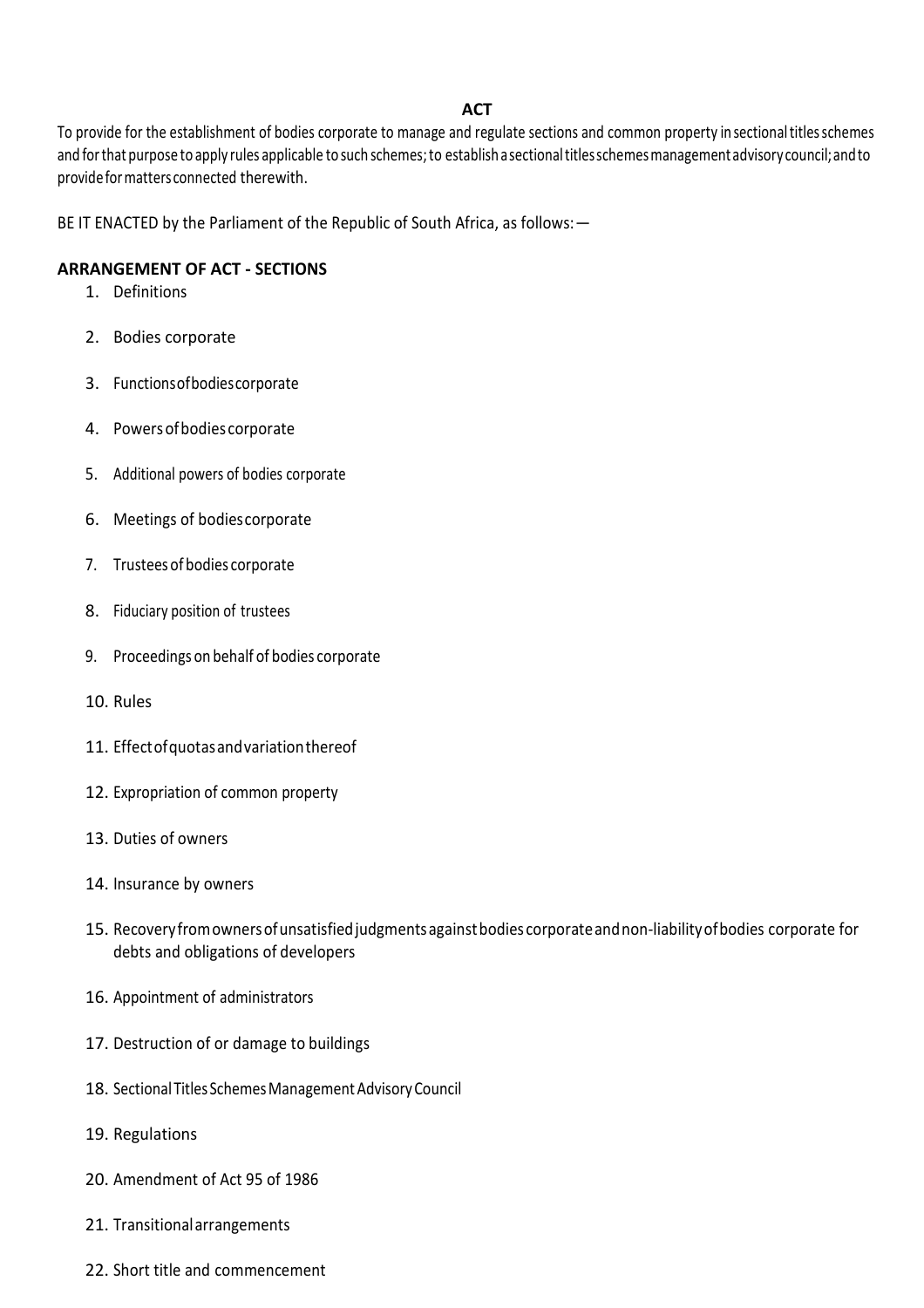#### **ACT**

To provide for the establishment of bodies corporate to manage and regulate sections and common property in sectionaltitlesschemes and for that purpose to apply rules applicable to such schemes; to establish a sectional titles schemes management advisory council; and to provideformattersconnected therewith.

BE IT ENACTED by the Parliament of the Republic of South Africa, as follows:—

#### **ARRANGEMENT OF ACT - SECTIONS**

- 1. Definitions
- 2. Bodies corporate
- 3. Functionsofbodiescorporate
- 4. Powersofbodies corporate
- 5. Additional powers of bodies corporate
- 6. Meetings of bodiescorporate
- 7. Trusteesof bodies corporate
- 8. Fiduciary position of trustees
- 9. Proceedings on behalf of bodies corporate
- 10. Rules
- 11. Effectofquotasandvariationthereof
- 12. Expropriation of common property
- 13. Duties of owners
- 14. Insurance by owners
- 15. Recoveryfromownersofunsatisfiedjudgmentsagainstbodies corporateandnon-liabilityofbodies corporate for debts and obligations of developers
- 16. Appointment of administrators
- 17. Destruction of or damage to buildings
- 18. Sectional Titles Schemes Management Advisory Council
- 19. Regulations
- 20. Amendment of Act 95 of 1986
- 21. Transitionalarrangements
- 22. Short title and commencement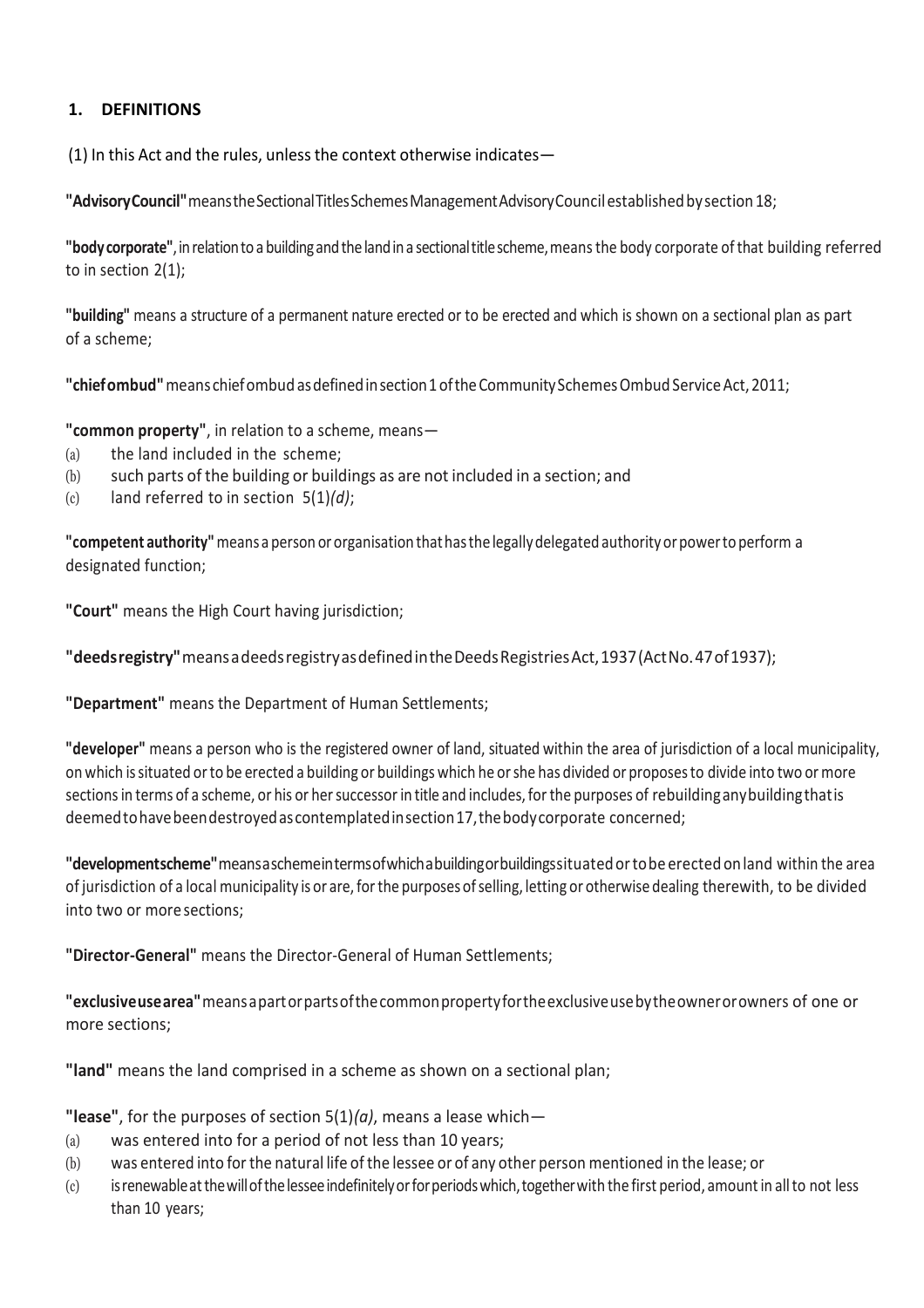# **1. DEFINITIONS**

(1) In this Act and the rules, unless the context otherwise indicates—

**"AdvisoryCouncil"**meanstheSectionalTitlesSchemesManagementAdvisoryCouncilestablishedbysection18;

**"bodycorporate"**,inrelationto a buildingandthelandina sectionaltitlescheme,meansthe body corporate ofthat building referred to in section 2(1);

**"building"** means a structure of a permanent nature erected or to be erected and which is shown on a sectional plan as part of a scheme;

**"chiefombud"**means chiefombud asdefinedinsection1oftheCommunitySchemesOmbud ServiceAct,2011;

**"common property"**, in relation to a scheme, means—

- (a) the land included in the scheme;
- (b) such parts of the building or buildings as are not included in a section; and
- (c) land referred to in section 5(1)*(d)*;

**"competent authority"**means a person or organisation thathasthe legallydelegated authority orpowerto perform a designated function;

**"Court"** means the High Court having jurisdiction;

**"deedsregistry"**meansadeedsregistryasdefinedintheDeedsRegistriesAct,1937(ActNo.47of1937);

**"Department"** means the Department of Human Settlements;

**"developer"** means a person who is the registered owner of land, situated within the area of jurisdiction of a local municipality, on which issituated orto be erected a building or buildings which he orshe has divided or proposesto divide into two or more sections in terms of a scheme, or his or her successor in title and includes, for the purposes of rebuilding any building that is deemed to have been destroyed as contemplated in section 17, the body corporate concerned;

**"developmentscheme"**meansaschemeintermsofwhichabuildingorbuildingssituatedortobe erected onland within the area of jurisdiction of a local municipality is or are,forthe purposes ofselling, letting or otherwise dealing therewith, to be divided into two or more sections;

**"Director-General"** means the Director-General of Human Settlements;

**"exclusiveusearea"**meansapartorpartsofthecommonpropertyfortheexclusiveusebytheownerorowners of one or more sections;

**"land"** means the land comprised in a scheme as shown on a sectional plan;

**"lease"**, for the purposes of section 5(1)*(a)*, means a lease which—

- (a) was entered into for a period of not less than 10 years;
- (b) was entered into forthe natural life of the lessee or of any other person mentioned in the lease; or
- (c) isrenewableatthewillofthelesseeindefinitelyorforperiodswhich,togetherwith the first period, amountin allto not less than 10 years;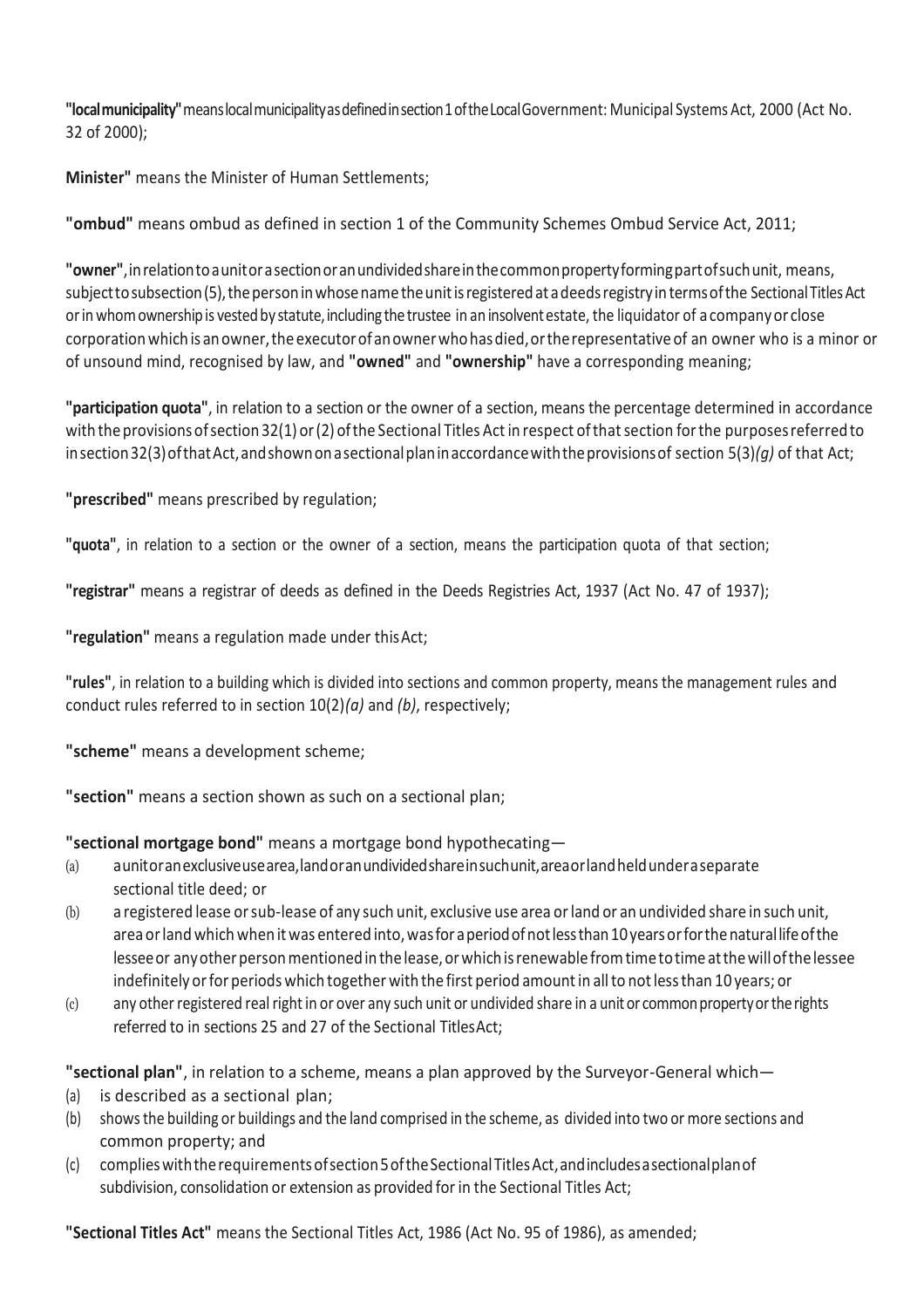**"localmunicipality"**meanslocalmunicipalityasdefinedinsection1oftheLocalGovernment: Municipal Systems Act, 2000 (Act No. 32 of 2000);

**Minister"** means the Minister of Human Settlements;

**"ombud"** means ombud as defined in section 1 of the Community Schemes Ombud Service Act, 2011;

**"owner"**,inrelationtoaunitorasectionoranundividedshareinthecommonpropertyformingpartofsuchunit, means, subject to subsection (5), the person in whose name the unit is registered at a deeds registry in terms of the Sectional Titles Act orin whomownershipis vestedby statute,including the trustee in an insolventestate, the liquidator of acompanyor close corporationwhich is anowner,the executorofanownerwhohasdied,ortherepresentativeof an owner who is a minor or of unsound mind, recognised by law, and **"owned"** and **"ownership"** have a corresponding meaning;

**"participation quota"**, in relation to a section or the owner of a section, means the percentage determined in accordance with the provisions of section 32(1) or (2) of the Sectional Titles Act in respect of that section for the purposes referred to insection32(3)ofthatAct,andshownonasectionalplaninaccordancewiththeprovisionsof section 5(3)*(g)* of that Act;

**"prescribed"** means prescribed by regulation;

**"quota"**, in relation to a section or the owner of a section, means the participation quota of that section;

**"registrar"** means a registrar of deeds as defined in the Deeds Registries Act, 1937 (Act No. 47 of 1937);

**"regulation"** means a regulation made under thisAct;

**"rules"**, in relation to a building which is divided into sections and common property, means the management rules and conduct rules referred to in section 10(2)*(a)* and *(b)*, respectively;

**"scheme"** means a development scheme;

**"section"** means a section shown as such on a sectional plan;

**"sectional mortgage bond"** means a mortgage bond hypothecating—

- (a) aunitoranexclusiveusearea,landoranundividedshareinsuchunit,areaorlandheldunderaseparate sectional title deed; or
- (b) a registered lease orsub-lease of any such unit, exclusive use area orland or an undivided share in such unit, area or land which when it was entered into, was for a period of not less than 10 years or for the natural life of the lessee or any other person mentioned in the lease, or which is renewable from time to time at the will of the lessee indefinitely or for periods which together with the first period amount in all to not less than 10 years; or
- (c) any other registered real right in or over any such unit or undivided share in a unit or common property or the rights referred to in sections 25 and 27 of the Sectional TitlesAct;

**"sectional plan"**, in relation to a scheme, means a plan approved by the Surveyor-General which—

- (a) is described as a sectional plan;
- (b) showsthe building or buildings and the land comprised in the scheme, as divided into two or more sections and common property; and
- (c) complies with the requirements of section 5 of the Sectional Titles Act, and includes a sectional plan of subdivision, consolidation or extension as provided for in the Sectional Titles Act;

**"Sectional Titles Act"** means the Sectional Titles Act, 1986 (Act No. 95 of 1986), as amended;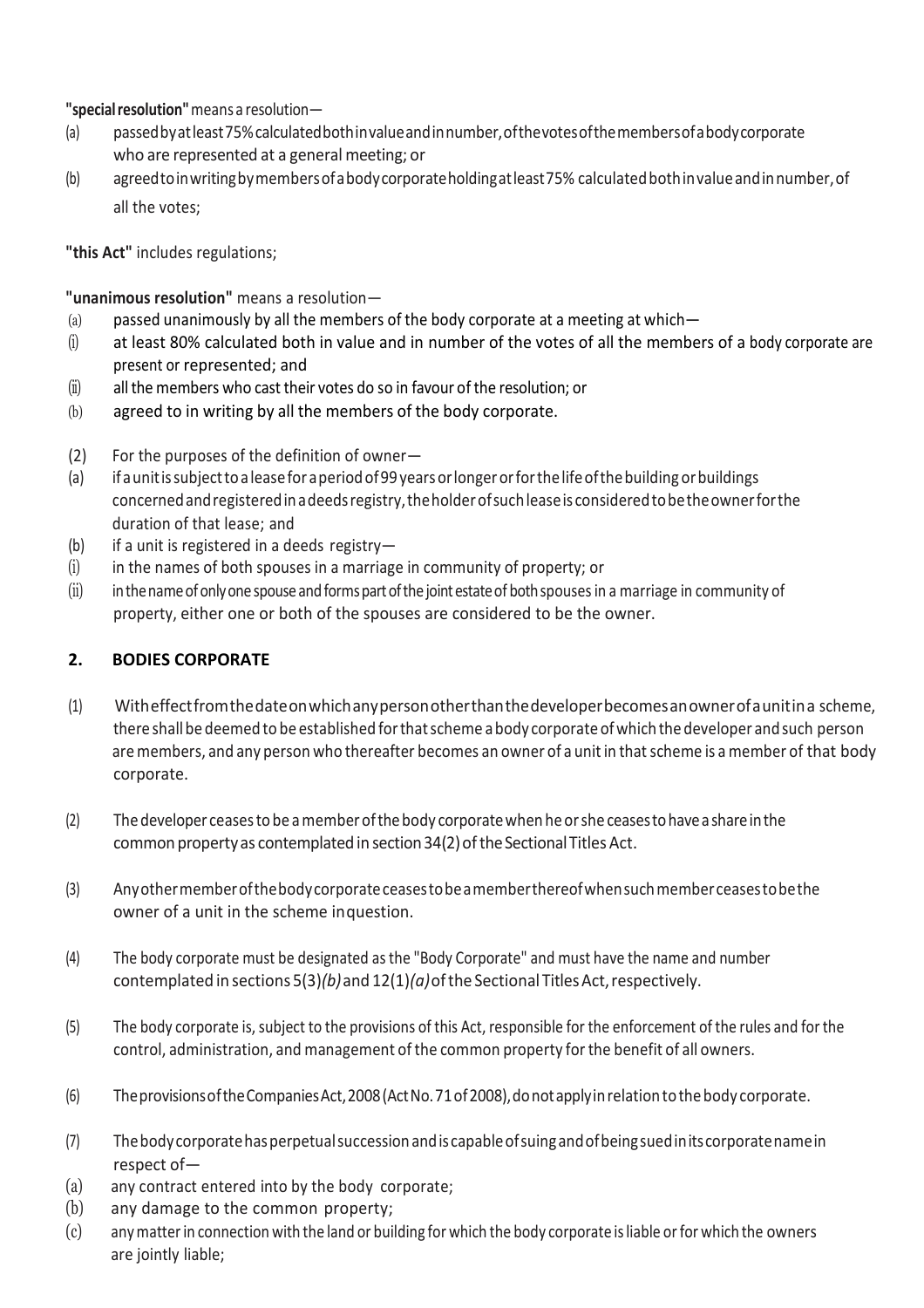## **"specialresolution"**means a resolution—

- (a) passedbyatleast75%calculatedbothinvalueandinnumber,ofthevotesofthemembersofabodycorporate who are represented at a general meeting; or
- (b) agreedtoinwritingbymembersofabodycorporateholdingatleast75% calculatedbothinvalueandinnumber,of all the votes;

**"this Act"** includes regulations;

**"unanimous resolution"** means a resolution—

- (a) passed unanimously by all the members of the body corporate at a meeting at which—
- (i) at least 80% calculated both in value and in number of the votes of all the members of a body corporate are present or represented; and
- $(ii)$  all the members who cast their votes do so in favour of the resolution; or
- (b) agreed to in writing by all the members of the body corporate.
- (2) For the purposes of the definition of owner—
- (a) ifaunitissubjecttoaleaseforaperiodof99yearsorlongerorforthelifeofthebuilding orbuildings concernedandregisteredinadeedsregistry,theholderofsuchleaseis consideredtobetheownerforthe duration of that lease; and
- (b) if a unit is registered in a deeds registry-
- $(i)$  in the names of both spouses in a marriage in community of property; or
- (ii) in the name of only one spouse and forms part of the joint estate of both spouses in a marriage in community of property, either one or both of the spouses are considered to be the owner.

# **2. BODIES CORPORATE**

- (1) Witheffectfromthedateonwhichanypersonotherthanthedeveloperbecomesanownerofaunitina scheme, there shall bedeemed to be established forthatscheme abody corporate ofwhich thedeveloper andsuch person are members, and any person who thereafter becomes an owner of a unit in that scheme is a member of that body corporate.
- (2) Thedeveloper ceasestobe amemberofthebody corporatewhen heorshe ceasestohavea shareinthe common property as contemplated in section 34(2) of the Sectional Titles Act.
- (3) Anyothermemberofthebodycorporateceasestobeamemberthereofwhensuchmemberceasestobethe owner of a unit in the scheme inquestion.
- (4) The body corporate must be designated as the "Body Corporate" and must have the name and number contemplated in sections 5(3)*(b)*and 12(1)*(a)*ofthe Sectional TitlesAct,respectively.
- (5) The body corporate is, subject to the provisions of this Act, responsible for the enforcement of the rules and for the control, administration, and management of the common property forthe benefit of all owners.
- (6) TheprovisionsoftheCompaniesAct,2008(ActNo.71of2008),donotapplyinrelationtothebody corporate.
- (7) Thebodycorporatehasperpetualsuccessionandis capableofsuingandofbeingsuedinitscorporatenamein respect of—
- (a) any contract entered into by the body corporate;
- (b) any damage to the common property;
- (c) anymatterin connection with the land or building for which the body corporate isliable orfor which the owners are jointly liable;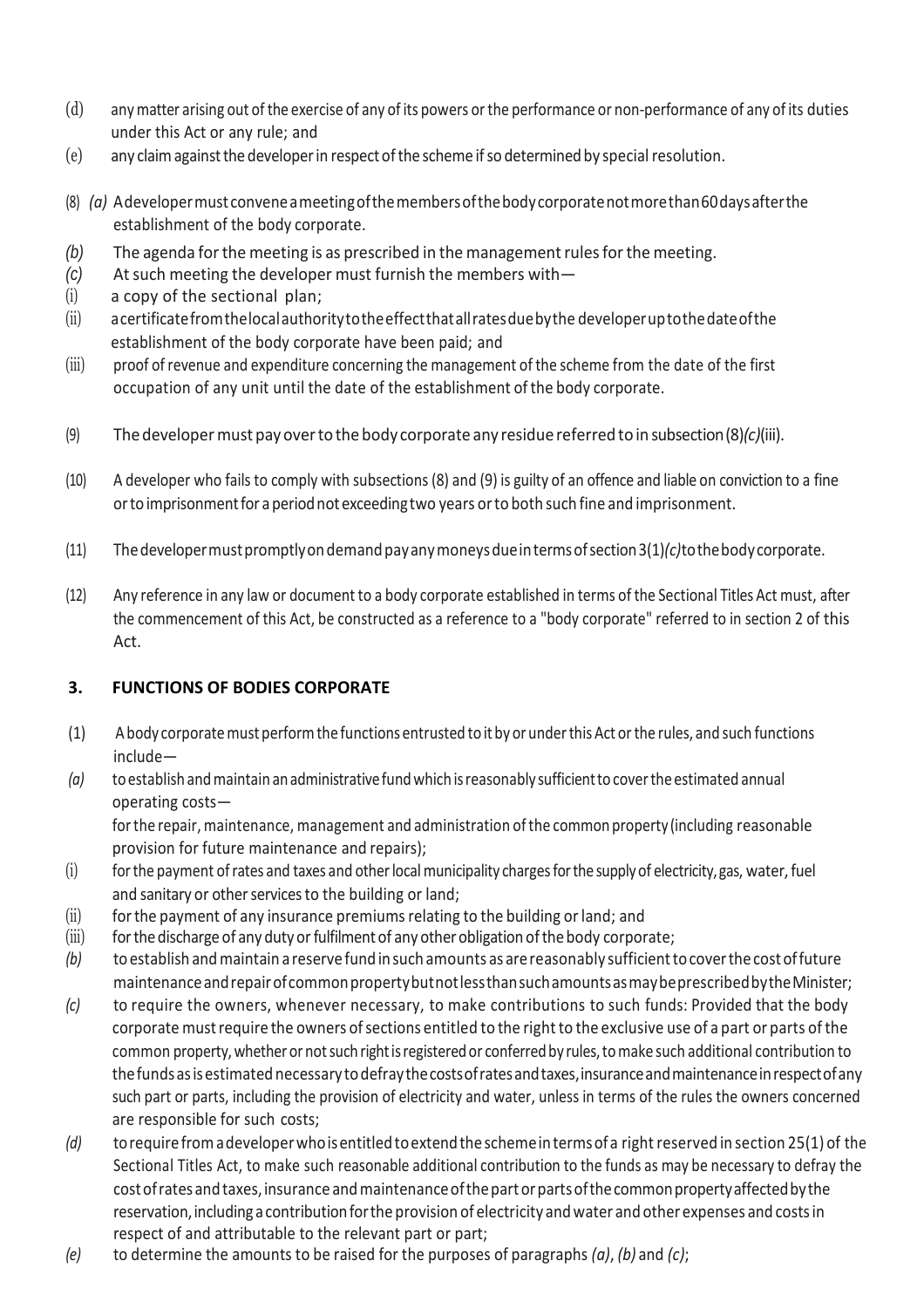- (d) any matter arising out ofthe exercise of any of its powers orthe performance or non-performance of any of its duties under this Act or any rule; and
- (e) any claimagainstthe developerin respectofthe scheme ifso determinedby special resolution.
- (8) *(a)* Adevelopermust conveneameetingofthemembersofthebodycorporatenotmorethan60daysafterthe establishment of the body corporate.
- *(b)* The agenda for the meeting is as prescribed in the management rules for the meeting.
- *(c)* Atsuch meeting the developer must furnish the members with—
- (i) a copy of the sectional plan;
- (ii) acertificatefromthelocalauthoritytotheeffectthatallratesduebythe developeruptothedateofthe establishment of the body corporate have been paid; and
- (iii) proof of revenue and expenditure concerning the management of the scheme from the date of the first occupation of any unit until the date of the establishment of the body corporate.
- (9) Thedevelopermust payovertothe body corporate any residue referred toin subsection(8)*(c)*(iii).
- (10) A developer who fails to comply with subsections (8) and (9) is guilty of an offence and liable on conviction to a fine ortoimprisonmentfor aperiodnot exceedingtwo years orto both such fine and imprisonment.
- (11) Thedevelopermustpromptlyondemandpayanymoneysdueintermsofsection3(1)*(c)*tothebodycorporate.
- (12) Any reference in any law or document to a body corporate established in terms of the Sectional Titles Act must, after the commencement of this Act, be constructed as a reference to a "body corporate" referred to in section 2 of this Act.

#### **3. FUNCTIONS OF BODIES CORPORATE**

- (1) Abody corporatemust performthe functions entrusted to it by or underthisAct orthe rules, and such functions include—
- *(a)* toestablish andmaintain anadministrativefundwhich isreasonably sufficientto coverthe estimated annual operating costs—

forthe repair, maintenance, management and administration ofthe common property (including reasonable provision for future maintenance and repairs);

- (i) for the payment of rates and taxes and other local municipality charges for the supply of electricity, gas, water, fuel and sanitary or other services to the building or land;
- (ii) for the payment of any insurance premiums relating to the building or land; and
- (iii) for the discharge of any duty or fulfilment of any other obligation of the body corporate;
- *(b)* to establish and maintain a reserve fund in such amounts as are reasonably sufficient to cover the cost of future maintenanceandrepairofcommonpropertybutnotlessthansuchamountsasmaybeprescribedbytheMinister;
- *(c)* to require the owners, whenever necessary, to make contributions to such funds: Provided that the body corporate mustrequire the owners ofsections entitled to the right to the exclusive use of a part or parts of the common property, whether or not such right is registered or conferred by rules, to make such additional contribution to the funds as is estimated necessary to defray the costs of rates and taxes, insurance and maintenance in respect of any such part or parts, including the provision of electricity and water, unless in terms of the rules the owners concerned are responsible for such costs;
- *(d)* torequirefromadeveloperwhoisentitledtoextendthe schemeintermsofa rightreserved in section 25(1) of the Sectional Titles Act, to make such reasonable additional contribution to the funds as may be necessary to defray the cost of rates and taxes, insurance and maintenance of the part or parts of the common property affected by the reservation, including a contribution for the provision of electricity and water and other expenses and costs in respect of and attributable to the relevant part or part;
- *(e)* to determine the amounts to be raised for the purposes of paragraphs *(a)*, *(b)* and *(c)*;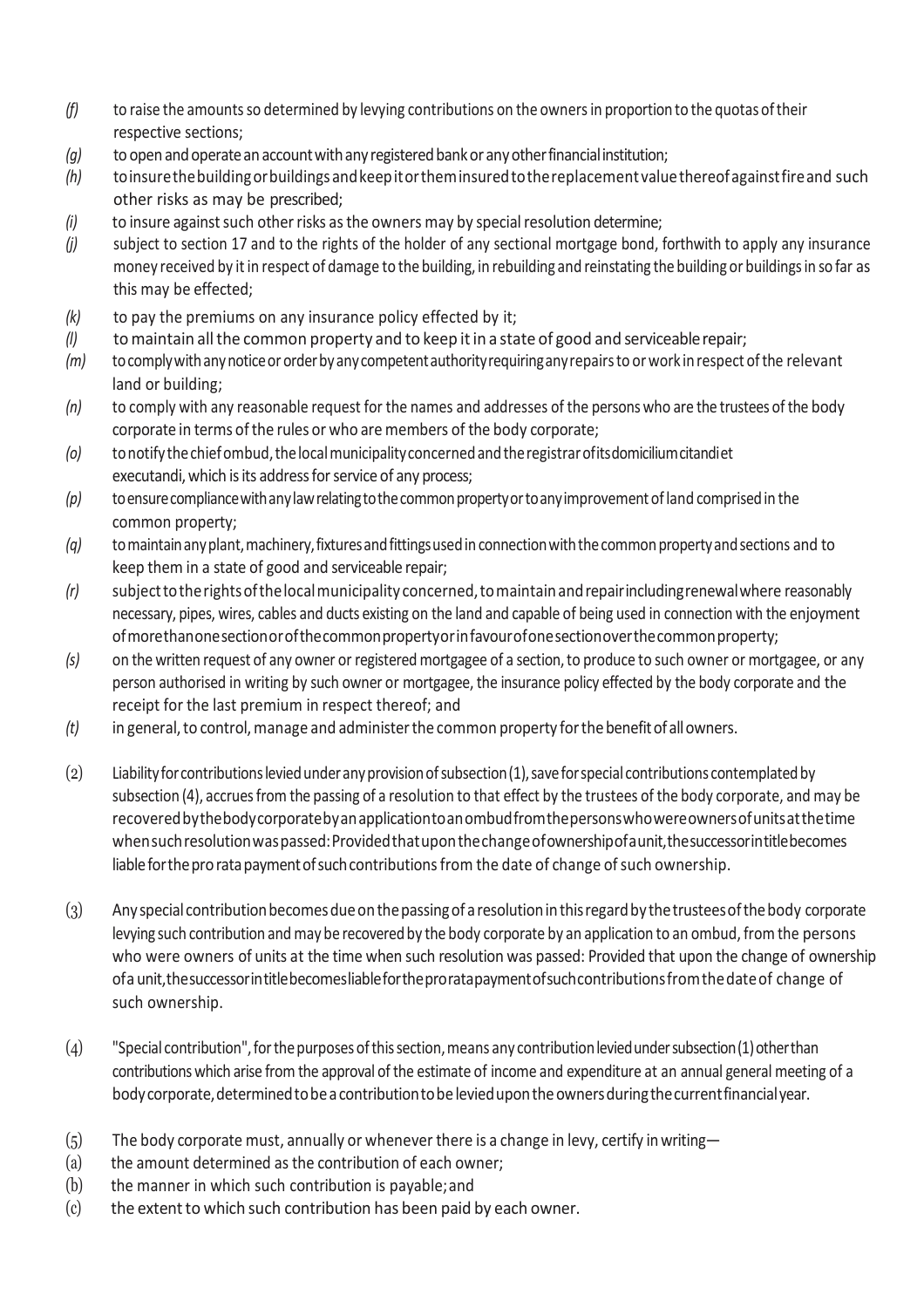- *(f)* to raise the amounts so determined by levying contributions on the owners in proportion to the quotas of their respective sections;
- *(g)* to open and operate an account with any registered bank or any other financial institution;
- *(h)* toinsurethebuildingorbuildingsandkeepitortheminsuredtothereplacement valuethereofagainstfireand such other risks as may be prescribed;
- *(i)* to insure against such other risks as the owners may by special resolution determine;
- *(j)* subject to section 17 and to the rights of the holder of any sectional mortgage bond, forthwith to apply any insurance money received by it in respect of damage to the building, in rebuilding and reinstating the building or buildingsin so far as this may be effected;
- *(k)* to pay the premiums on any insurance policy effected by it;
- *(l)* tomaintain allthe common property and to keep itin a state of good and serviceablerepair;
- *(m)* tocomplywithanynoticeororderbyanycompetentauthorityrequiringanyrepairsto orwork in respect ofthe relevant land or building;
- *(n)* to comply with any reasonable request for the names and addresses of the persons who are the trustees ofthe body corporate in terms of the rules or who are members of the body corporate;
- *(o)* tonotifythechiefombud,thelocalmunicipalityconcernedandtheregistrarofitsdomiciliumcitandiet executandi, which is its address for service of any process;
- *(p)* toensurecompliancewithanylawrelatingtothecommonpropertyortoanyimprovementofland comprisedin the common property;
- *(q)* to maintain any plant, machinery, fixtures and fittings used in connection with the common property and sections and to keep them in a state of good and serviceable repair;
- *(r)* subjecttotherightsofthelocalmunicipality concerned,tomaintainandrepairincludingrenewalwhere reasonably necessary, pipes, wires, cables and ducts existing on the land and capable of being used in connection with the enjoyment ofmorethanonesectionorofthecommonpropertyorinfavourofonesectionoverthecommonproperty;
- *(s)* on the written request of any owner or registered mortgagee of a section,to produce to such owner or mortgagee, or any person authorised in writing by such owner or mortgagee, the insurance policy effected by the body corporate and the receipt for the last premium in respect thereof; and
- *(t)* in general,to control,manage and administerthe common property forthebenefitofallowners.
- (2) Liabilityforcontributionsleviedunderanyprovisionofsubsection(1),saveforspecial contributions contemplatedby subsection (4), accrues from the passing of a resolution to that effect by the trustees of the body corporate, and may be recoveredbythebodycorporatebyanapplicationtoanombudfromthepersonswhowereownersofunitsatthetime whensuchresolutionwaspassed:Providedthatuponthechangeofownershipofaunit,thesuccessorintitlebecomes liable for the pro rata payment of such contributions from the date of change of such ownership.
- (3) Anyspecial contributionbecomesdueonthepassingof a resolutioninthisregardby thetrusteesofthebody corporate levying such contribution and may be recovered by the body corporate by an application to an ombud, from the persons who were owners of units at the time when such resolution was passed: Provided that upon the change of ownership ofa unit,thesuccessorintitlebecomesliablefortheproratapaymentofsuchcontributionsfromthedateof change of such ownership.
- (4) "Special contribution",forthepurposesofthissection,means any contributionleviedundersubsection(1)otherthan contributions which arise from the approval of the estimate of income and expenditure at an annual general meeting of a body corporate, determined to be a contribution to be levied upon the owners during the current financial year.
- $(5)$  The body corporate must, annually or whenever there is a change in levy, certify in writing—
- (a) the amount determined as the contribution of each owner;
- (b) the manner in which such contribution is payable;and
- (c) the extent to which such contribution has been paid by each owner.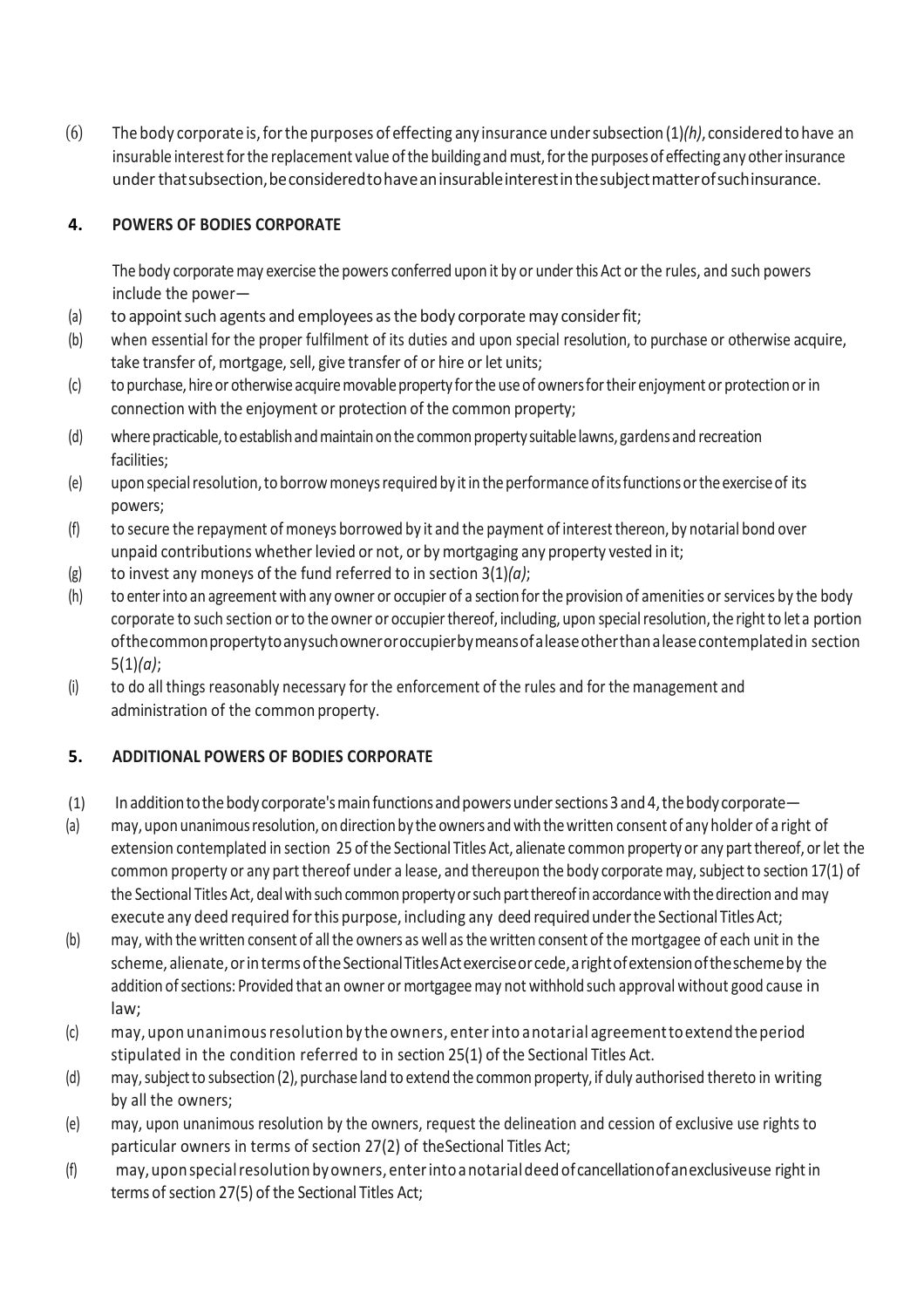(6) The body corporate is,forthe purposes of effecting any insurance undersubsection(1)*(h)*, consideredtohave an insurable interest for the replacement value of the building and must, for the purposes of effecting any other insurance underthatsubsection,beconsideredtohaveaninsurableinterestinthesubjectmatterofsuchinsurance.

## **4. POWERS OF BODIES CORPORATE**

The body corporate may exercise the powers conferred upon it by or under this Act or the rules, and such powers include the power—

- (a) to appoint such agents and employees as the body corporate may consider fit;
- (b) when essential for the proper fulfilment of its duties and upon special resolution, to purchase or otherwise acquire, take transfer of, mortgage, sell, give transfer of or hire or let units;
- (c) to purchase, hire or otherwise acquire movable property for the use of owners for their enjoyment or protection or in connection with the enjoyment or protection of the common property;
- (d) where practicable, to establish and maintain on the common property suitable lawns, gardens and recreation facilities;
- (e) upon special resolution, to borrow moneys required by it in the performance of its functions or the exercise of its powers;
- (f) to secure the repayment of moneys borrowed by it and the payment of interestthereon, by notarial bond over unpaid contributions whether levied or not, or by mortgaging any property vested in it;
- (g) to invest any moneys of the fund referred to in section 3(1)*(a)*;
- (h) to enter into an agreement with any owner or occupier of a section for the provision of amenities or services by the body corporate to such section or to the owner or occupier thereof, including, upon special resolution, the right to let a portion ofthecommonpropertytoanysuchowneroroccupierbymeansofaleaseotherthanaleasecontemplatedin section 5(1)*(a)*;
- (i) to do all things reasonably necessary for the enforcement of the rules and for the management and administration of the common property.

# **5. ADDITIONAL POWERS OF BODIES CORPORATE**

- (1) In addition to the body corporate's main functions and powers under sections 3 and 4, the body corporate—
- (a) may, upon unanimous resolution, on direction by the owners and with the written consent of any holder of a right of extension contemplated in section 25 of the Sectional Titles Act, alienate common property or any part thereof, or let the common property or any part thereof under a lease, and thereupon the body corporate may, subject to section 17(1) of the Sectional Titles Act, deal with such common property or such part thereof in accordance with the direction and may execute any deed required for this purpose, including any deed required under the Sectional Titles Act;
- (b) may, with the written consent of all the owners as well as the written consent of the mortgagee of each unit in the scheme, alienate,orinterms oftheSectionalTitlesActexerciseorcede,arightofextensionoftheschemeby the addition of sections: Provided that an owner or mortgagee may not withhold such approval without good cause in law;
- (c) may, upon unanimousresolution by the owners, enterinto anotarial agreementtoextendtheperiod stipulated in the condition referred to in section 25(1) of the Sectional Titles Act.
- (d) may, subject to subsection (2), purchase land to extend the common property, if duly authorised thereto in writing by all the owners;
- (e) may, upon unanimous resolution by the owners, request the delineation and cession of exclusive use rights to particular owners in terms of section 27(2) of theSectional Titles Act;
- (f) may, upon special resolution by owners, enter into a notarial deed of cancellation of an exclusiveuse right in terms of section 27(5) of the Sectional Titles Act;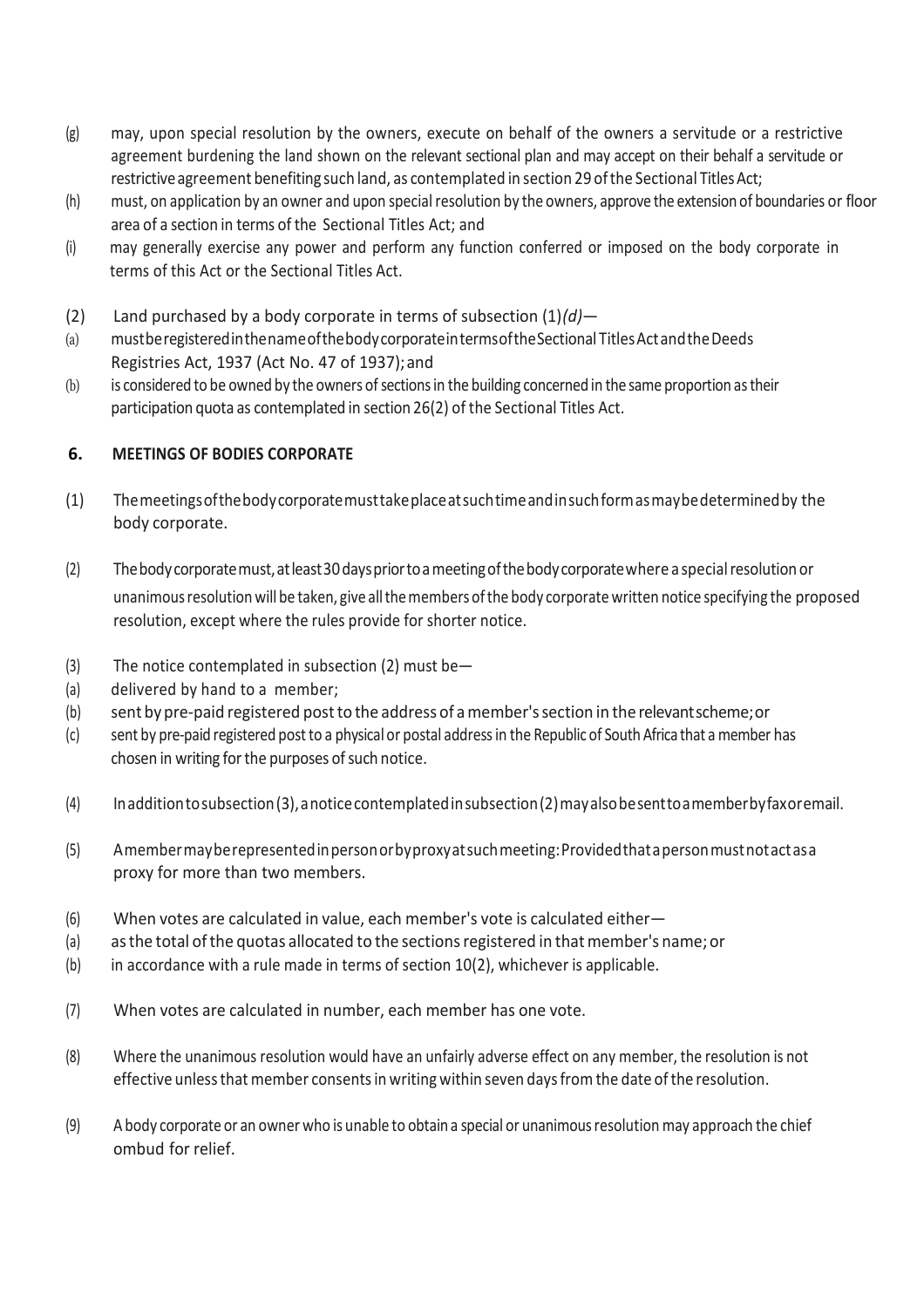- (g) may, upon special resolution by the owners, execute on behalf of the owners a servitude or a restrictive agreement burdening the land shown on the relevant sectional plan and may accept on their behalf a servitude or restrictive agreement benefiting such land, as contemplated in section 29 of the Sectional Titles Act;
- $(h)$  must, on application by an owner and upon special resolution by the owners, approve the extension of boundaries or floor area of a section in terms of the Sectional Titles Act; and
- (i) may generally exercise any power and perform any function conferred or imposed on the body corporate in terms of this Act or the Sectional Titles Act.
- (2) Land purchased by a body corporate in terms of subsection (1)*(d)*—
- (a) mustberegisteredinthenameofthebodycorporateintermsoftheSectional TitlesActandtheDeeds Registries Act, 1937 (Act No. 47 of 1937);and
- (b) is considered to be owned by the owners of sections in the building concerned in the same proportion as their participation quota as contemplated in section 26(2) of the Sectional Titles Act.

## **6. MEETINGS OF BODIES CORPORATE**

- (1) Themeetingsofthebodycorporatemusttakeplaceatsuchtimeandinsuchformasmaybedeterminedby the body corporate.
- (2) Thebodycorporatemust,atleast30dayspriortoameetingofthebodycorporatewhere a specialresolutionor unanimousresolutionwill be taken, give allthemembers ofthe body corporate written notice specifying the proposed resolution, except where the rules provide for shorter notice.
- (3) The notice contemplated in subsection (2) must be—
- (a) delivered by hand to a member;
- (b) sent bypre-paid registered postto the address of amember'ssection in the relevantscheme;or
- (c) sent by pre-paid registered postto a physical or postal addressin the Republic of South Africa that a member has chosen in writing for the purposes of such notice.
- (4) Inadditiontosubsection(3),anoticecontemplatedinsubsection(2)mayalsobesenttoamemberbyfaxoremail.
- (5) Amembermayberepresentedinpersonorbyproxyatsuchmeeting:Providedthatapersonmustnotactasa proxy for more than two members.
- (6) When votes are calculated in value, each member's vote is calculated either—
- (a) as the total of the quotas allocated to the sections registered in that member's name; or
- $(b)$  in accordance with a rule made in terms of section 10(2), whichever is applicable.
- (7) When votes are calculated in number, each member has one vote.
- (8) Where the unanimous resolution would have an unfairly adverse effect on any member, the resolution is not effective unless that member consents in writing within seven days from the date of the resolution.
- (9) A body corporate or an owner who is unable to obtain a special or unanimousresolution may approach the chief ombud for relief.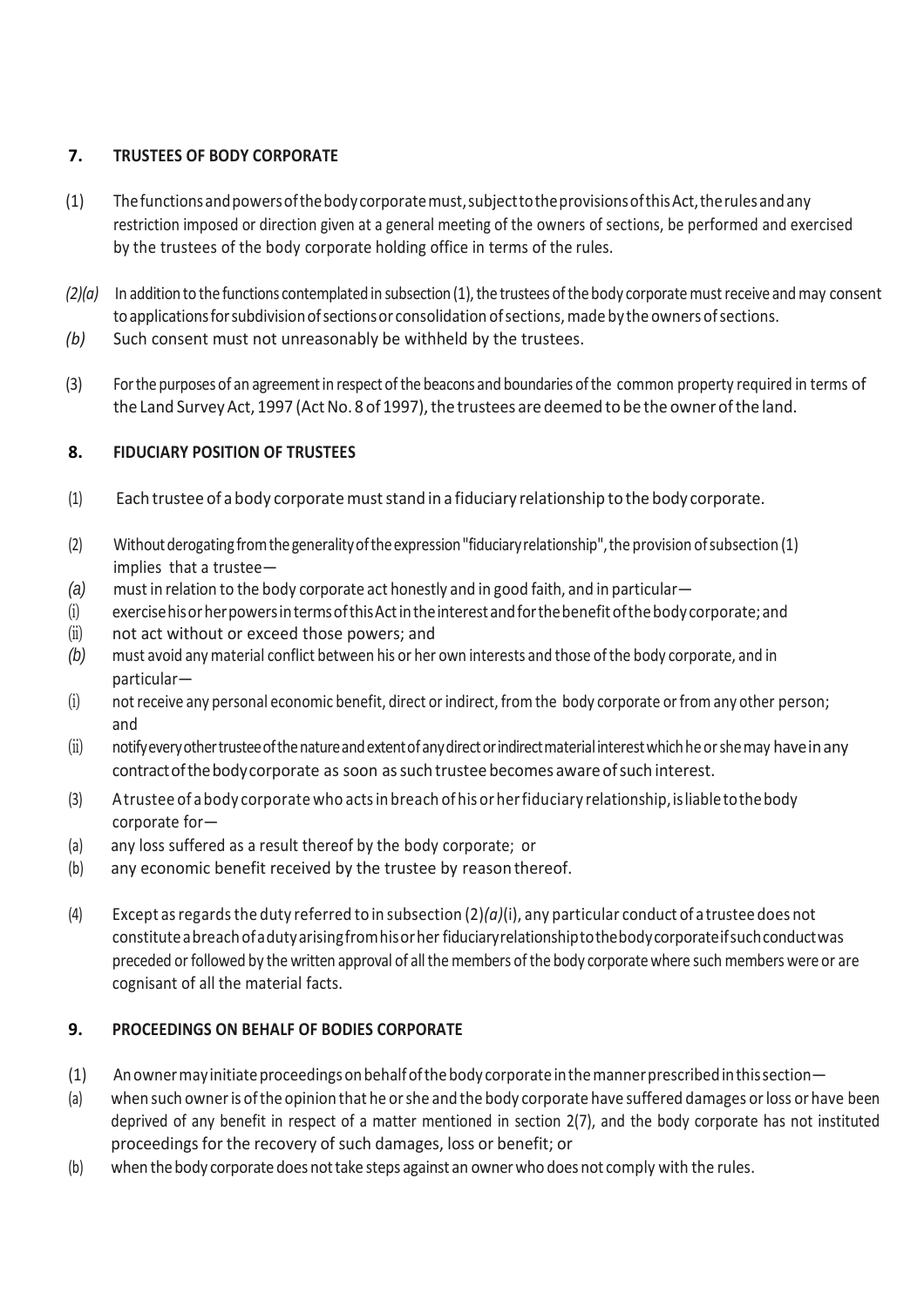## **7. TRUSTEES OF BODY CORPORATE**

- (1) Thefunctionsandpowersofthebodycorporatemust,subjecttotheprovisionsofthisAct,therulesandany restriction imposed or direction given at a general meeting of the owners of sections, be performed and exercised by the trustees of the body corporate holding office in terms of the rules.
- *(2)(a)* In addition to the functions contemplated in subsection (1), the trustees of the body corporate must receive and may consent to applications for subdivision of sections or consolidation of sections, made by the owners of sections.
- *(b)* Such consent must not unreasonably be withheld by the trustees.
- (3) Forthe purposes of an agreementin respect ofthe beacons and boundaries ofthe common property required in terms of the Land Survey Act, 1997 (Act No. 8 of 1997), the trustees are deemed to be the owner of the land.

## **8. FIDUCIARY POSITION OF TRUSTEES**

- (1) Each trustee of a body corporatemuststand in a fiduciary relationship to the body corporate.
- (2) Withoutderogating fromthegeneralityoftheexpression"fiduciaryrelationship",the provision ofsubsection (1) implies that a trustee—
- *(a)* must in relation to the body corporate act honestly and in good faith, and in particular—
- (i) exercisehisorherpowersintermsofthisActintheinterestandforthebenefitofthebody corporate; and
- (ii) not act without or exceed those powers; and
- *(b)* must avoid any material conflict between his or her own interests and those ofthe body corporate, and in particular—
- (i) not receive any personal economic benefit, direct or indirect, from the body corporate or from any other person; and
- (ii) notifyevery other trustee of the nature and extent of any direct or indirect material interest which he or she may have in any contractofthebodycorporate as soon assuch trustee becomes awareofsuch interest.
- (3) Atrustee of a body corporate who acts in breach of his or her fiduciary relationship, is liable to the body corporate for—
- (a) any loss suffered as a result thereof by the body corporate; or
- (b) any economic benefit received by the trustee by reason thereof.
- (4) Except as regards the duty referred to in subsection  $(2)(a)(i)$ , any particular conduct of a trustee does not constituteabreachofadutyarisingfromhisorher fiduciaryrelationshiptothebodycorporateifsuchconductwas preceded or followed by the written approval of all the members of the body corporate where such members were or are cognisant of all the material facts.

# **9. PROCEEDINGS ON BEHALF OF BODIES CORPORATE**

- (1) Anowner may initiate proceedings on behalf of the body corporate in the manner prescribed in this section—
- (a) when such owneris ofthe opinion that he orshe and the body corporate have suffered damages orloss or have been deprived of any benefit in respect of a matter mentioned in section 2(7), and the body corporate has not instituted proceedings for the recovery of such damages, loss or benefit; or
- (b) when thebody corporate doesnottake steps against an ownerwho does not comply with the rules.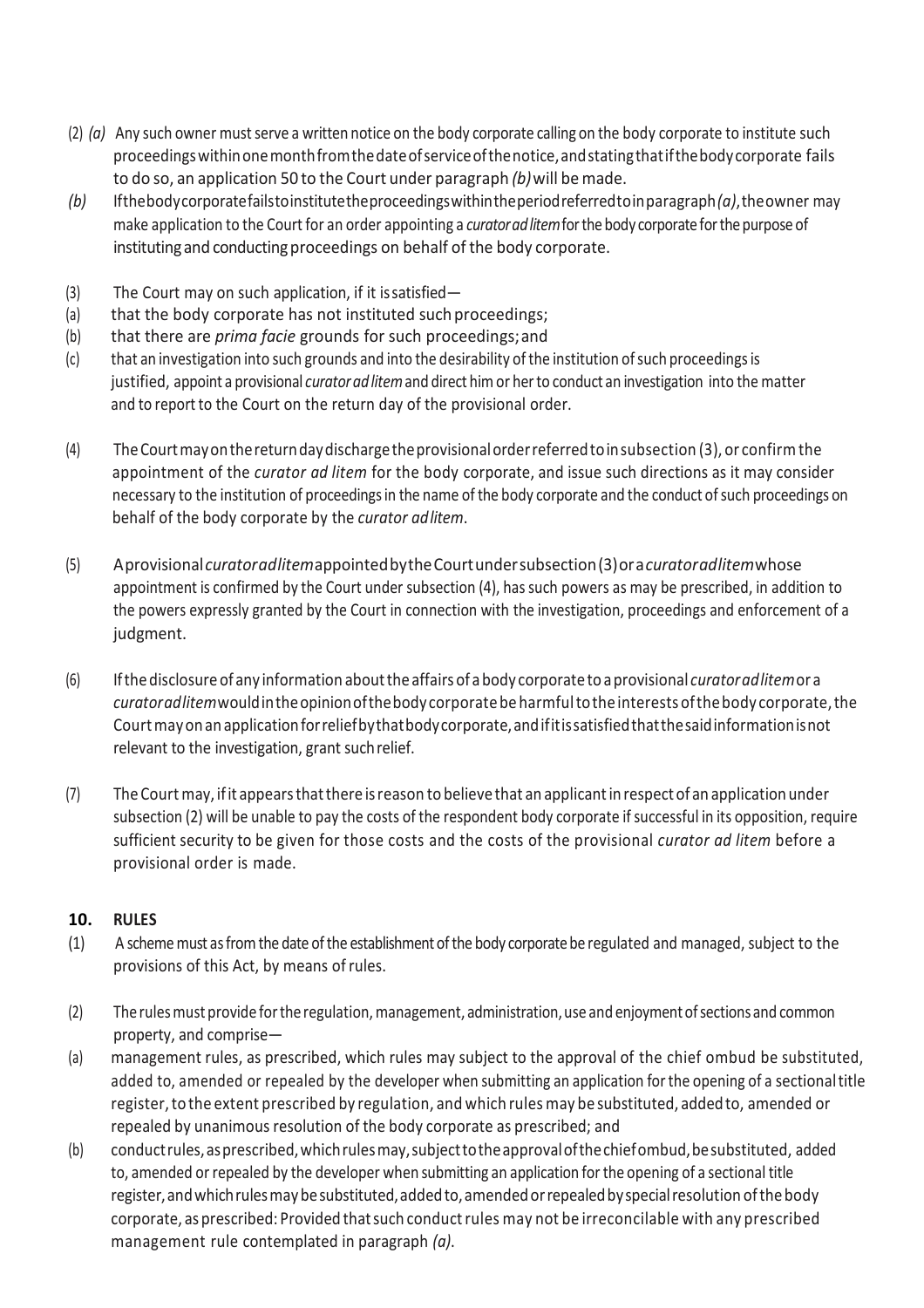- (2) *(a)* Any such owner mustserve a written notice on the body corporate calling on the body corporate to institute such proceedingswithinonemonthfromthedateofserviceofthenotice,andstatingthatifthebodycorporate fails to do so, an application 50 to the Court under paragraph *(b)*will be made.
- *(b)* Ifthebodycorporatefailstoinstitutetheproceedingswithintheperiodreferredtoinparagraph*(a)*,theowner may make application to the Court for an order appointing a *curatoradlitem*forthebody corporateforthepurposeof instituting and conducting proceedings on behalf of the body corporate.
- (3) The Court may on such application, if it issatisfied—
- (a) that the body corporate has not instituted such proceedings;
- (b) that there are *prima facie* grounds for such proceedings;and
- (c) that an investigation into such grounds and into the desirability ofthe institution ofsuch proceedingsis justified, appoint a provisional *curatoradlitem*and direct himor herto conduct an investigation into the matter and to report to the Court on the return day of the provisional order.
- (4) TheCourtmayonthereturndaydischargetheprovisionalorderreferredtoinsubsection (3), or confirmthe appointment of the *curator ad litem* for the body corporate, and issue such directions as it may consider necessary to the institution of proceedings in the name of the body corporate and the conduct of such proceedings on behalf of the body corporate by the *curator adlitem*.
- (5) Aprovisional*curatoradlitem*appointedbytheCourtundersubsection(3)ora*curatoradlitem*whose appointment is confirmed by the Court under subsection (4), hassuch powers as may be prescribed, in addition to the powers expressly granted by the Court in connection with the investigation, proceedings and enforcement of a judgment.
- (6) Ifthedisclosureof any information aboutthe affairs of abody corporate to aprovisional *curatoradlitem*or a *curatoradlitem*wouldintheopinionofthebodycorporate beharmfultothe interests ofthebody corporate,the Courtmayonanapplicationforreliefbythatbodycorporate,andifitissatisfiedthatthesaidinformationisnot relevant to the investigation, grant suchrelief.
- (7) The Court may, ifit appearsthatthere isreason to believe that an applicantinrespect of an application under subsection (2) will be unable to pay the costs of the respondent body corporate if successful in its opposition, require sufficient security to be given for those costs and the costs of the provisional *curator ad litem* before a provisional order is made.

#### **10. RULES**

- (1) A scheme must as from the date of the establishment of the body corporate be regulated and managed, subject to the provisions of this Act, by means ofrules.
- (2) The rules must provide for the regulation, management, administration, use and enjoyment of sections and common property, and comprise—
- (a) management rules, as prescribed, which rules may subject to the approval of the chief ombud be substituted, added to, amended or repealed by the developer when submitting an application forthe opening of a sectionaltitle register, to the extent prescribed by regulation, and which rules may be substituted, added to, amended or repealed by unanimous resolution of the body corporate as prescribed; and
- (b) conductrules,asprescribed,whichrulesmay,subjecttotheapprovalofthechiefombud,besubstituted, added to, amended or repealed by the developer when submitting an application forthe opening of a sectional title register, and which rules may be substituted, added to, amended or repealed by special resolution of the body corporate, as prescribed: Provided thatsuch conductrules may not be irreconcilable with any prescribed management rule contemplated in paragraph *(a)*.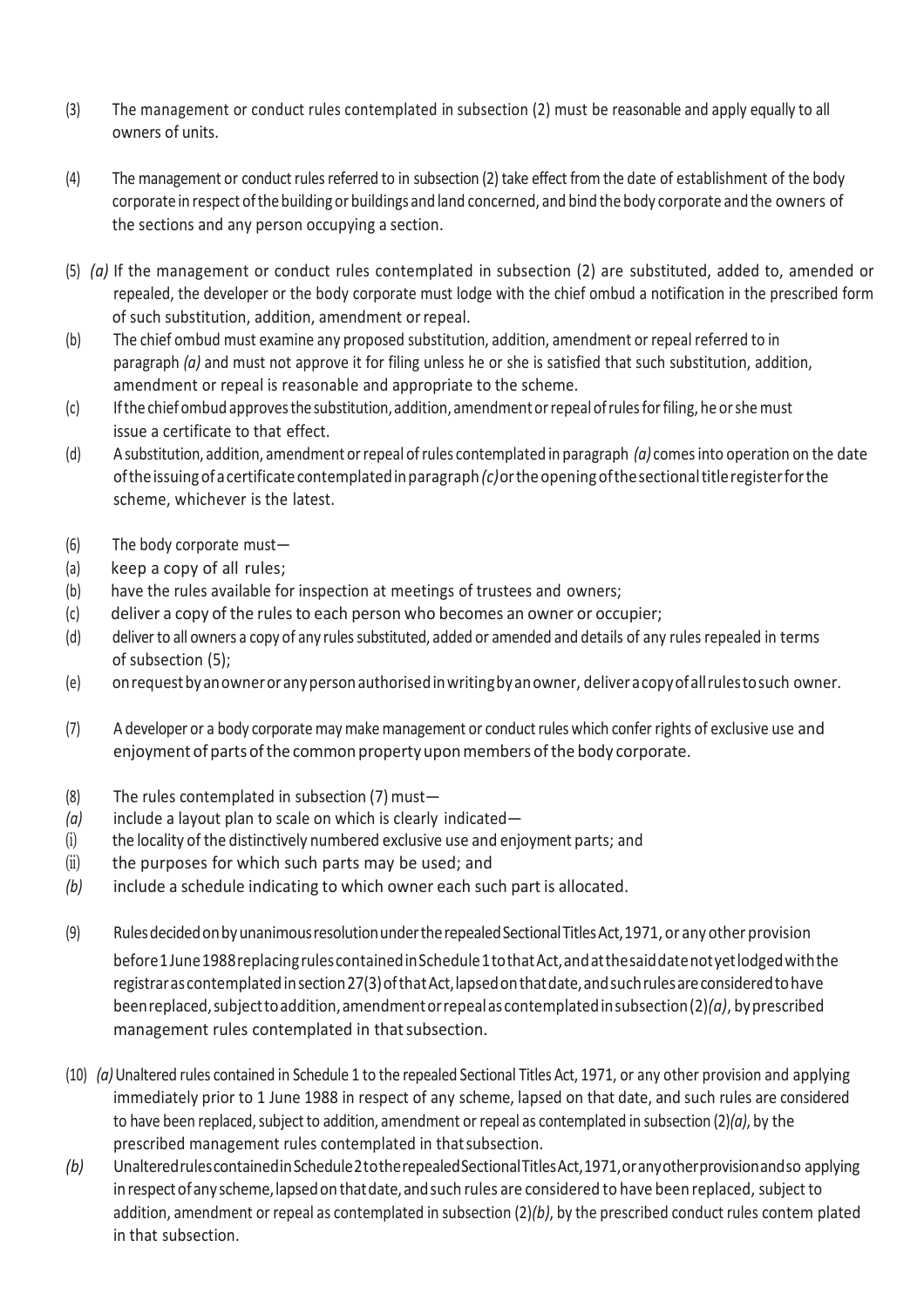- (3) The management or conduct rules contemplated in subsection (2) must be reasonable and apply equally to all owners of units.
- (4) The management or conduct rules referred to in subsection (2) take effect from the date of establishment of the body corporate in respect of the building or buildings and land concerned, and bind the body corporate and the owners of the sections and any person occupying a section.
- (5) *(a)* If the management or conduct rules contemplated in subsection (2) are substituted, added to, amended or repealed, the developer or the body corporate must lodge with the chief ombud a notification in the prescribed form of such substitution, addition, amendment orrepeal.
- (b) The chief ombud must examine any proposed substitution, addition, amendment or repeal referred to in paragraph *(a)* and must not approve it for filing unless he or she is satisfied that such substitution, addition, amendment or repeal is reasonable and appropriate to the scheme.
- (c) Ifthe chiefombud approvesthesubstitution,addition, amendmentorrepealofrulesforfiling, he orshemust issue a certificate to that effect.
- (d) Asubstitution, addition, amendment orrepeal ofrules contemplated in paragraph *(a)* comesinto operation on the date oftheissuingofacertificatecontemplatedinparagraph*(c)*ortheopening ofthesectionaltitleregisterforthe scheme, whichever is the latest.
- (6) The body corporate must—
- (a) keep a copy of all rules;
- (b) have the rules available for inspection at meetings of trustees and owners;
- (c) deliver a copy of the rulesto each person who becomes an owner or occupier;
- (d) deliver to all owners a copy of any rules substituted, added or amended and details of any rules repealed in terms of subsection (5);
- (e) onrequestbyanowneroranypersonauthorisedinwritingbyanowner, deliveracopyofallrulestosuch owner.
- (7) A developer or a body corporate may make management or conductrules which confer rights of exclusive use and enjoyment of parts of the common property upon members of the body corporate.
- (8) The rules contemplated in subsection (7) must—
- *(a)* include a layout plan to scale on which is clearly indicated—
- (i) the locality of the distinctively numbered exclusive use and enjoyment parts; and
- $(ii)$  the purposes for which such parts may be used; and
- *(b)* include a schedule indicating to which owner each such part is allocated.
- (9) RulesdecidedonbyunanimousresolutionundertherepealedSectionalTitlesAct,1971, or any other provision before1June1988replacingrulescontainedinSchedule1tothatAct,andatthesaiddatenotyetlodgedwiththe registrar as contemplated in section 27(3) of that Act, lapsed on that date, and such rules are considered to have beenreplaced,subjecttoaddition,amendmentorrepealas contemplatedinsubsection(2)*(a)*, byprescribed management rules contemplated in thatsubsection.
- (10) *(a)*Unaltered rules contained in Schedule 1 to the repealed Sectional Titles Act, 1971, or any other provision and applying immediately prior to 1 June 1988 in respect of any scheme, lapsed on that date, and such rules are considered to have been replaced, subject to addition, amendment or repeal as contemplated in subsection (2)(a), by the prescribed management rules contemplated in thatsubsection.
- *(b)* UnalteredrulescontainedinSchedule2totherepealedSectionalTitlesAct,1971,oranyotherprovisionandso applying in respect of any scheme, lapsed on that date, and such rules are considered to have been replaced, subject to addition, amendment or repeal as contemplated in subsection (2)*(b)*, by the prescribed conduct rules contem plated in that subsection.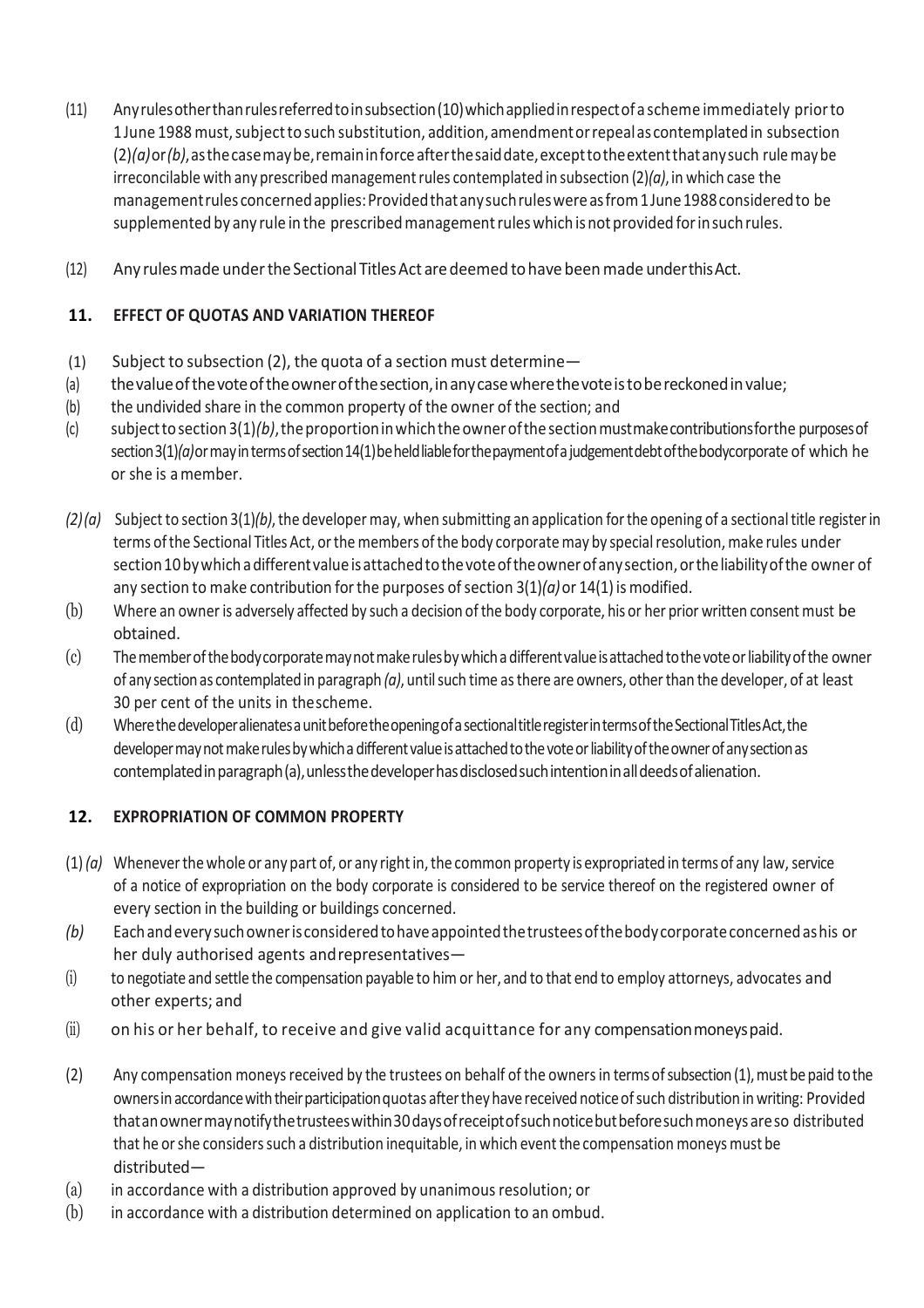- (11) Anyrulesotherthanrulesreferredtoinsubsection(10)whichappliedinrespectof a scheme immediately priorto 1 June 1988 must, subject to such substitution, addition, amendment or repeal as contemplated in subsection (2)*(a)*or*(b)*,asthecasemaybe,remaininforceafterthesaiddate,excepttotheextentthatanysuch rulemay be irreconcilable with any prescribed management rules contemplated in subsection (2)(a), in which case the managementrules concernedapplies:Providedthatanysuchruleswereasfrom1June1988consideredto be supplemented by any rule in the prescribed management rules which is not provided for in such rules.
- (12) Any rulesmade undertheSectional TitlesAct aredeemed tohavebeenmade underthisAct.

# **11. EFFECT OF QUOTAS AND VARIATION THEREOF**

- (1) Subject to subsection (2), the quota of a section must determine—
- (a) the value of the vote of the owner of the section, in any case where the vote is to be reckoned in value;
- (b) the undivided share in the common property of the owner of the section; and
- (c) subjecttosection3(1)*(b)*,theproportioninwhichtheownerofthesectionmustmakecontributionsforthe purposesof section 3(1)(a) or may in terms of section 14(1) be held liable for the payment of a judgement debt of the bodycorporate of which he or she is amember.
- *(2)(a)* Subject to section 3(1)*(b)*,the developer may, when submitting an application forthe opening of a sectionaltitle registerin terms ofthe Sectional Titles Act, orthe members ofthe body corporatemay by specialresolution, make rules under section 10 by which a different value is attached to the vote of the owner of any section, or the liability of the owner of any section to make contribution for the purposes of section  $3(1)/a$  or  $14(1)$  is modified.
- (b) Where an owneris adversely affected by such a decision ofthe body corporate, his or her prior written consent must be obtained.
- (c) Thememberofthebodycorporatemaynotmakerulesbywhichadifferentvalueisattachedtothevoteorliabilityofthe owner of any sectionas contemplatedin paragraph *(a)*, untilsuch time asthere are owners, otherthan the developer, of at least 30 per cent of the units in thescheme.
- (d) WherethedeveloperalienatesaunitbeforetheopeningofasectionaltitleregisterintermsoftheSectionalTitlesAct,the developer may not make rules by which a different value is attached to the vote or liability of the owner of any section as contemplatedinparagraph(a),unlessthedeveloperhasdisclosedsuchintentioninalldeedsofalienation.

# **12. EXPROPRIATION OF COMMON PROPERTY**

- $(1)$  (a) Whenever the whole or any part of, or any right in, the common property is expropriated in terms of any law, service of a notice of expropriation on the body corporate is considered to be service thereof on the registered owner of every section in the building or buildings concerned.
- *(b)* Eachandeverysuchowneris consideredtohaveappointedthetrusteesofthebodycorporateconcernedashis or her duly authorised agents andrepresentatives—
- (i) to negotiate and settle the compensation payable to him or her, and to that end to employ attorneys, advocates and other experts; and
- (ii) on his or her behalf, to receive and give valid acquittance for any compensation moneys paid.
- (2) Any compensation moneys received by the trustees on behalf of the owners in terms of subsection (1), must be paid to the ownersin accordancewiththeirparticipationquotas afterthey have received noticeofsuch distribution in writing: Provided thatanownermaynotifythetrusteeswithin30daysofreceiptofsuchnoticebutbeforesuchmoneysareso distributed that he or she considers such a distribution inequitable, in which event the compensation moneys must be distributed—
- (a) in accordance with a distribution approved by unanimousresolution; or
- (b) in accordance with a distribution determined on application to an ombud.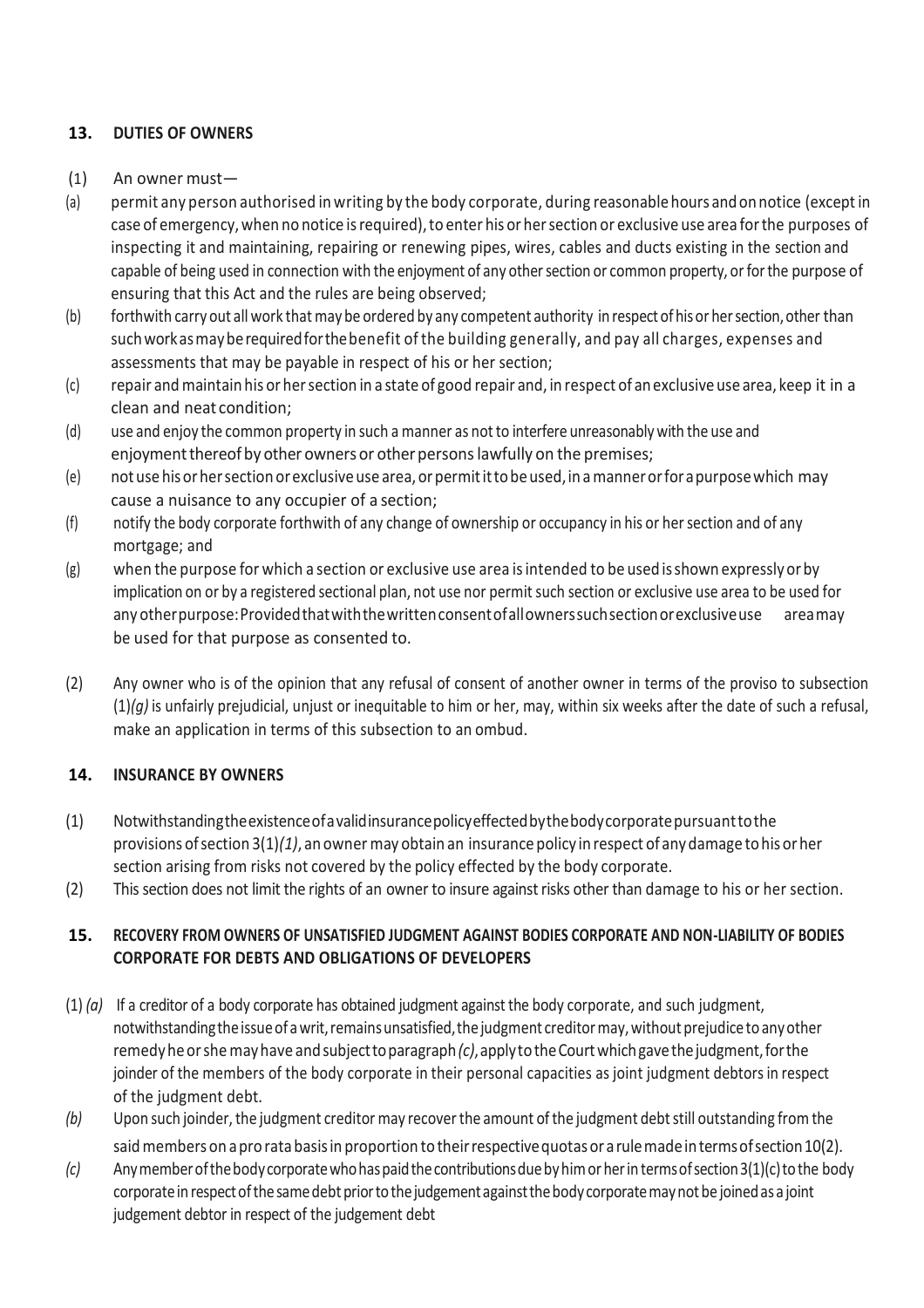# **13. DUTIES OF OWNERS**

- (1) An owner must—
- (a) permit any person authorised in writing by the body corporate, during reasonable hours andonnotice (exceptin case of emergency, when no notice is required), to enter his or her section or exclusive use area for the purposes of inspecting it and maintaining, repairing or renewing pipes, wires, cables and ducts existing in the section and capable of being used in connection with the enjoyment of any other section or common property, or for the purpose of ensuring that this Act and the rules are being observed;
- (b) forthwith carry out all work that may be ordered by any competent authority in respect of his or her section, other than suchworkasmayberequiredforthebenefit of the building generally, and pay all charges, expenses and assessments that may be payable in respect of his or her section;
- (c) repair and maintain his or hersection in a state of good repair and, in respect of an exclusiveuse area, keep it in a clean and neat condition;
- (d) use and enjoy the common property in such a manner as not to interfere unreasonably with the use and enjoyment thereof by other owners or other persons lawfully on the premises;
- (e) notuse hisorhersection orexclusiveuse area,orpermitittobeused,inamannerorforapurposewhich may cause a nuisance to any occupier of a section;
- (f) notify the body corporate forthwith of any change of ownership or occupancy in his or hersection and of any mortgage; and
- (g) when the purpose for which a section or exclusive use area isintended to be used isshown expressly or by implication on or by a registered sectional plan, not use nor permit such section or exclusive use area to be used for any other purpose: Provided that with the written consent of allowners such section or exclusive use areamay be used for that purpose as consented to.
- (2) Any owner who is of the opinion that any refusal of consent of another owner in terms of the proviso to subsection  $(1)(q)$  is unfairly prejudicial, unjust or inequitable to him or her, may, within six weeks after the date of such a refusal, make an application in terms of this subsection to an ombud.

#### **14. INSURANCE BY OWNERS**

- (1) Notwithstandingtheexistenceofavalidinsurancepolicyeffectedbythebodycorporatepursuanttothe provisions ofsection 3(1)*(1)*, anowner may obtain an insurancepolicy inrespect of anydamage tohis orher section arising from risks not covered by the policy effected by the body corporate.
- (2) This section does not limit the rights of an owner to insure against risks other than damage to his or her section.

## **15. RECOVERY FROM OWNERS OF UNSATISFIED JUDGMENT AGAINST BODIES CORPORATE AND NON-LIABILITY OF BODIES CORPORATE FOR DEBTS AND OBLIGATIONS OF DEVELOPERS**

- (1) *(a)* If a creditor of a body corporate has obtained judgment against the body corporate, and such judgment, notwithstanding the issue of a writ, remains unsatisfied, the judgment creditor may, without prejudice to any other remedyheorshemayhave andsubjecttoparagraph*(c)*,applytotheCourtwhichgavethejudgment,forthe joinder of the members of the body corporate in their personal capacities as joint judgment debtors in respect of the judgment debt.
- *(b)* Upon such joinder, the judgment creditor may recover the amount of the judgment debt still outstanding from the said members on a pro rata basis in proportion to their respective quotas or a rule made in terms of section 10(2).
- *(c)* Anymemberofthebodycorporatewhohaspaidthecontributionsduebyhimorherin termsofsection3(1)(c)tothe body corporate in respect of the same debt prior to the judgement against the body corporate may not be joined as a joint judgement debtor in respect of the judgement debt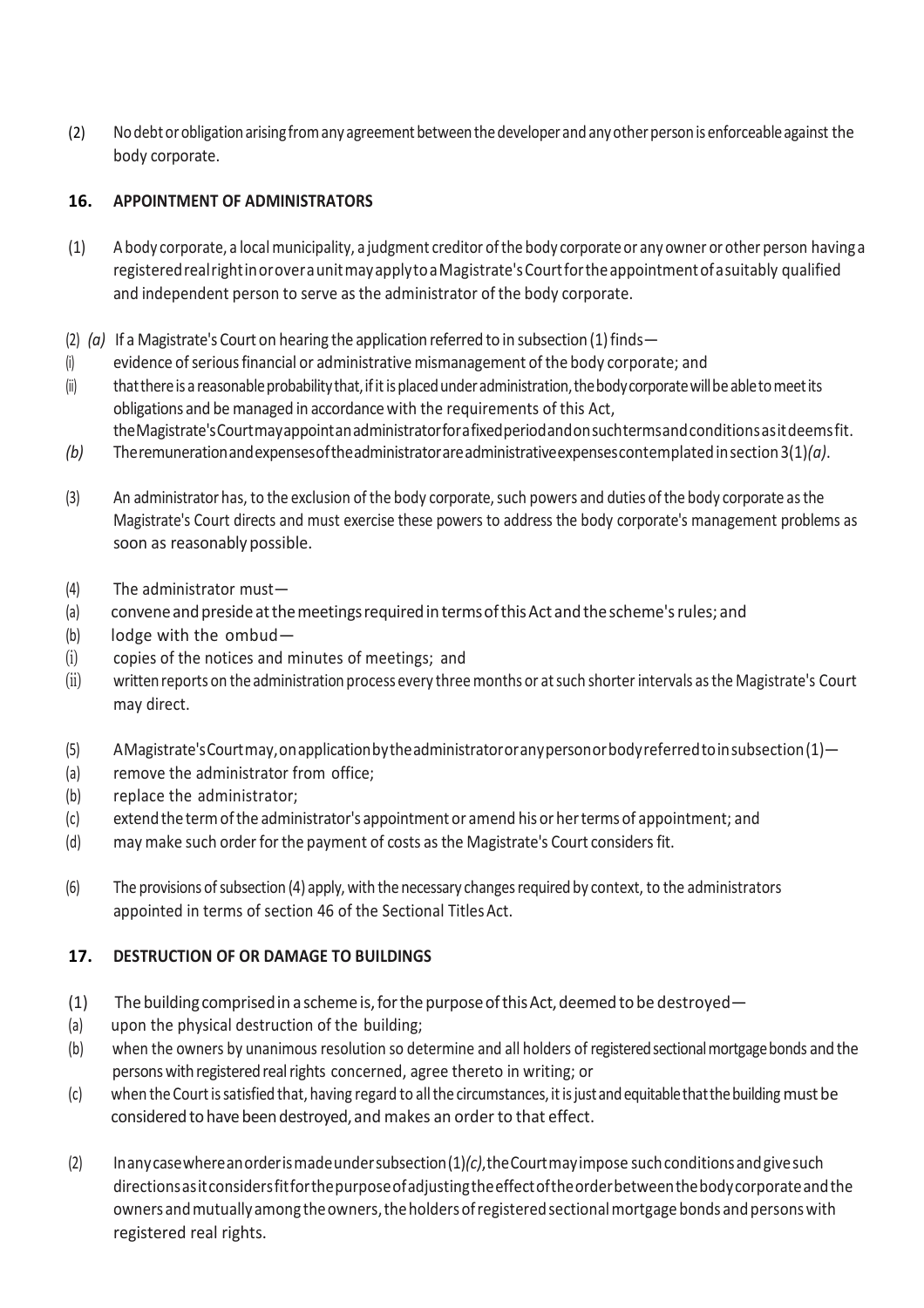(2) No debt or obligation arising from any agreement between the developer and any other person is enforceable against the body corporate.

## **16. APPOINTMENT OF ADMINISTRATORS**

- (1) A body corporate, a local municipality, a judgment creditor ofthe body corporateor any owner or other person havinga registeredrealrightinoroveraunitmayapplytoaMagistrate'sCourtfortheappointmentofasuitably qualified and independent person to serve as the administrator of the body corporate.
- (2)  $(a)$  If a Magistrate's Court on hearing the application referred to in subsection (1) finds —
- (i) evidence ofseriousfinancial or administrative mismanagement of the body corporate; and
- (ii) that there is a reasonable probability that, if it is placed under administration, the body corporate will be able to meet its obligations and be managed in accordancewith the requirements of this Act,
- theMagistrate'sCourtmayappointanadministratorforafixedperiodandonsuchtermsandconditionsasitdeemsfit. *(b)* Theremunerationandexpensesoftheadministratorareadministrativeexpensescontemplatedinsection3(1)*(a)*.
- (3) An administrator has, to the exclusion of the body corporate, such powers and duties of the body corporate as the Magistrate's Court directs and must exercise these powers to address the body corporate's management problems as soon as reasonably possible.
- (4) The administrator must—
- (a) convene and preside at the meetings required in terms of this Act and the scheme's rules; and
- (b) lodge with the ombud—
- (i) copies of the notices and minutes of meetings; and
- (ii) written reports on the administration process every three months or at such shorter intervals as the Magistrate's Court may direct.
- (5) AMagistrate'sCourtmay,onapplicationbytheadministratororanypersonorbodyreferredtoinsubsection(1)—
- (a) remove the administrator from office;
- (b) replace the administrator;
- (c) extend the termofthe administrator's appointmentor amend hisor herterms of appointment; and
- (d) may make such orderforthe payment of costs as the Magistrate's Court considersfit.
- (6) The provisions of subsection (4) apply, with the necessary changes required by context, to the administrators appointed in terms of section 46 of the Sectional TitlesAct.

#### **17. DESTRUCTION OF OR DAMAGE TO BUILDINGS**

- (1) The building comprised in a scheme is, for the purpose of this Act, deemed to be destroyed—
- (a) upon the physical destruction of the building;
- (b) when the owners by unanimous resolution so determine and all holders of registered sectional mortgage bonds and the persons with registered real rights concerned, agree thereto in writing; or
- (c) when the Court is satisfied that, having regard to all the circumstances, it is just and equitable that the building must be considered to have been destroyed, and makes an order to that effect.
- (2) Inanycasewhereanorderismadeundersubsection(1)*(c)*,theCourtmayimpose suchconditionsandgivesuch directionsasitconsidersfitforthepurposeofadjustingtheeffectoftheorderbetweenthebodycorporateandthe owners and mutually among the owners, the holders of registered sectional mortgage bonds and persons with registered real rights.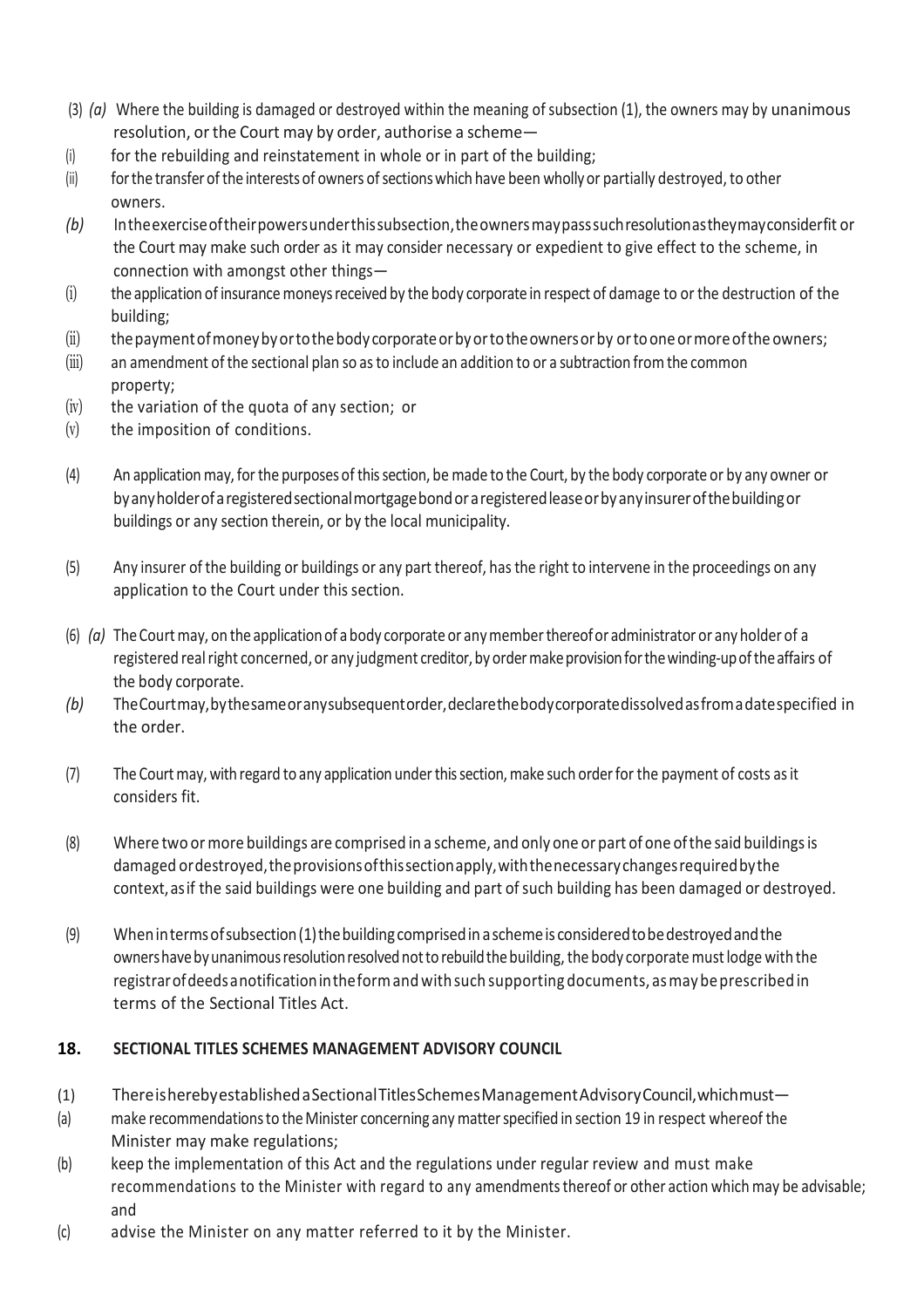- (3) *(a)* Where the building is damaged or destroyed within the meaning of subsection (1), the owners may by unanimous resolution, or the Court may by order, authorise a scheme—
- $(i)$  for the rebuilding and reinstatement in whole or in part of the building;
- (ii) for the transfer of the interests of owners of sections which have been wholly or partially destroyed, to other owners.
- *(b)* Intheexerciseoftheirpowersunderthissubsection,theownersmaypasssuchresolutionastheymayconsiderfit or the Court may make such order as it may consider necessary or expedient to give effect to the scheme, in connection with amongst other things—
- (i) the application of insurance moneys received by the body corporate in respect of damage to or the destruction of the building;
- (ii) the payment of money by orto the body corporate or by or to the owners or by ortoone or more of the owners;
- (iii) an amendment ofthe sectional plan so asto include an addition to or a subtraction from the common property;
- (iv) the variation of the quota of any section; or
- (v) the imposition of conditions.
- (4) An application may,forthe purposes of thissection, be made to the Court, by the body corporate or by any owner or byanyholderofaregisteredsectionalmortgagebondoraregisteredleaseorbyanyinsurerofthebuildingor buildings or any section therein, or by the local municipality.
- (5) Any insurer of the building or buildings or any part thereof, hasthe right to intervene in the proceedings on any application to the Court under this section.
- (6) *(a)* TheCourtmay, on the applicationof a body corporateor anymemberthereofor administrator or any holder of a registered real right concerned, or any judgment creditor, by order make provision for the winding-up of the affairs of the body corporate.
- *(b)* TheCourtmay,bythesameoranysubsequentorder,declarethebodycorporatedissolvedasfromadatespecified in the order.
- (7) The Courtmay, with regard to any application underthissection,make such orderfor the payment of costs asit considers fit.
- (8) Where two ormore buildings are comprised in a scheme, and only one or part of one ofthe said buildingsis damaged or destroyed, the provisions of this section apply, with the necessary changes required by the context,asif the said buildings were one building and part ofsuch building has been damaged or destroyed.
- (9) Whenintermsofsubsection(1)thebuildingcomprisedinaschemeis consideredtobedestroyedandthe owners have by unanimous resolution resolved not to rebuild the building, the body corporate must lodge with the registrar of deeds anotification in the form and with such supporting documents, as may be prescribed in terms of the Sectional Titles Act.

#### **18. SECTIONAL TITLES SCHEMES MANAGEMENT ADVISORY COUNCIL**

- (1) ThereisherebyestablishedaSectionalTitlesSchemesManagementAdvisoryCouncil,whichmust—
- (a) make recommendationsto theMinister concerning any matterspecified in section 19 in respect whereof the Minister may make regulations;
- (b) keep the implementation of this Act and the regulations under regular review and must make recommendations to the Minister with regard to any amendments thereof or other action which may be advisable; and
- (c) advise the Minister on any matter referred to it by the Minister.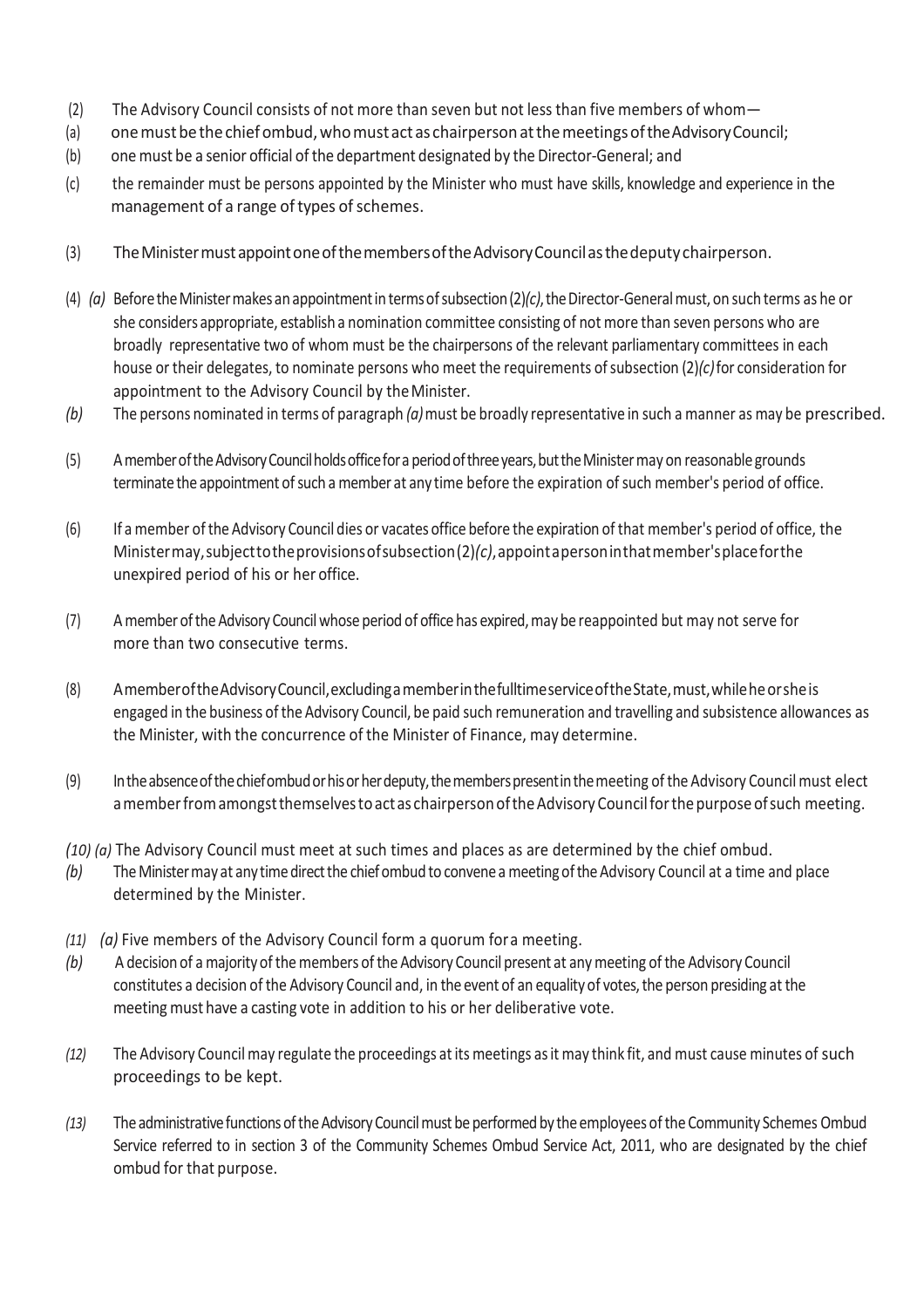- (2) The Advisory Council consists of not more than seven but not less than five members of whom—
- (a) one must be the chief ombud, who must act as chairperson at the meetings of the Advisory Council;
- (b) one must be a senior official of the department designated by the Director-General; and
- (c) the remainder must be persons appointed by the Minister who must have skills, knowledge and experience in the management of a range of types of schemes.
- (3) TheMinistermustappointoneofthemembersoftheAdvisoryCouncilasthedeputy chairperson.
- (4)  $(a)$  Before the Minister makes an appointment in terms of subsection  $(2)/c$ , the Director-General must, on such terms as he or she considers appropriate, establish a nomination committee consisting of not more than seven persons who are broadly representative two of whom must be the chairpersons of the relevant parliamentary committees in each house or their delegates, to nominate persons who meet the requirements ofsubsection (2)*(c)*for consideration for appointment to the Advisory Council by theMinister.
- *(b)* The persons nominated in terms of paragraph *(a)*must be broadly representative in such a manner as may be prescribed.
- (5) AmemberoftheAdvisoryCouncilholdsofficefora periodofthreeyears,buttheMinistermay on reasonable grounds terminate the appointment of such a member at any time before the expiration of such member's period of office.
- (6) If a member ofthe Advisory Council dies or vacates office before the expiration of that member's period of office, the Ministermay,subjecttotheprovisionsofsubsection(2)*(c)*,appointapersoninthatmember'splaceforthe unexpired period of his or her office.
- (7) A member oftheAdvisory Councilwhose period of office has expired,may be reappointed but may not serve for more than two consecutive terms.
- (8) AmemberoftheAdvisoryCouncil,excludingamemberinthefulltimeserviceoftheState,must,whileheorsheis engaged in the business of the Advisory Council, be paid such remuneration and travelling and subsistence allowances as the Minister, with the concurrence of the Minister of Finance, may determine.
- (9) Intheabsenceofthechiefombudorhisorherdeputy,thememberspresentinthemeeting ofthe Advisory Council must elect a member from amongst themselves to act as chairperson of the Advisory Council for the purpose of such meeting.
- *(10) (a)* The Advisory Council must meet at such times and places as are determined by the chief ombud.
- *(b)* The Minister may at any time direct the chief ombud to convene a meeting of the Advisory Council at a time and place determined by the Minister.
- *(11) (a)* Five members of the Advisory Council form a quorum fora meeting.
- *(b)* A decision of a majority of the members of the Advisory Council present at any meeting of the Advisory Council constitutes a decision of the Advisory Council and, in the event of an equality of votes, the person presiding at the meeting must have a casting vote in addition to his or her deliberative vote.
- *(12)* The Advisory Council may regulate the proceedings atits meetings asit may think fit, and must cause minutes of such proceedings to be kept.
- *(13)* The administrativefunctionsoftheAdvisory Councilmust beperformedby the employees ofthe Community Schemes Ombud Service referred to in section 3 of the Community Schemes Ombud Service Act, 2011, who are designated by the chief ombud for that purpose.